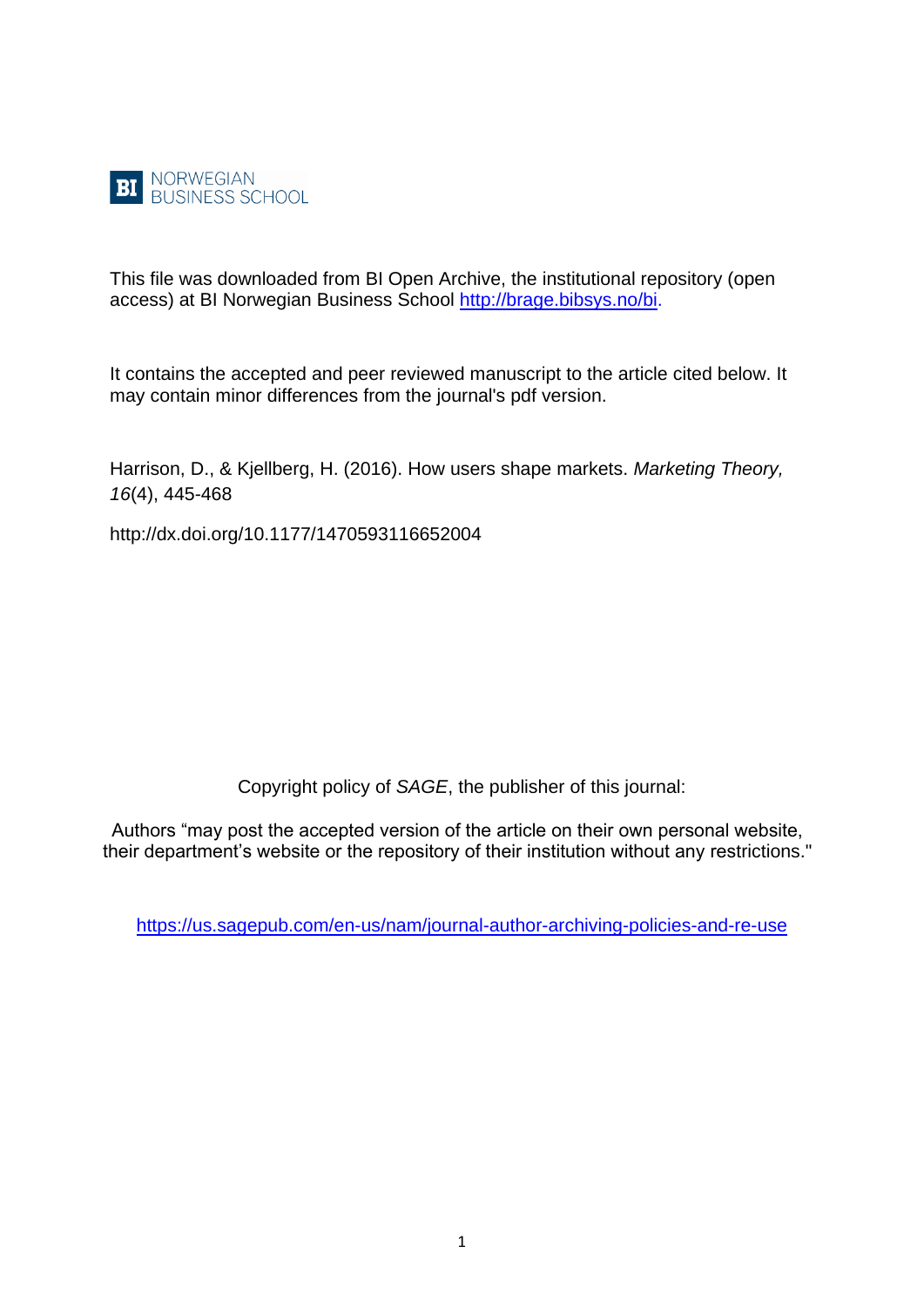

This file was downloaded from BI Open Archive, the institutional repository (open access) at BI Norwegian Business School [http://brage.bibsys.no/bi.](http://brage.bibsys.no/bi)

It contains the accepted and peer reviewed manuscript to the article cited below. It may contain minor differences from the journal's pdf version.

Harrison, D., & Kjellberg, H. (2016). How users shape markets. *Marketing Theory, 16*(4), 445-468

http://dx.doi.org/10.1177/1470593116652004

Copyright policy of *SAGE*, the publisher of this journal:

Authors "may post the accepted version of the article on their own personal website, their department's website or the repository of their institution without any restrictions."

<https://us.sagepub.com/en-us/nam/journal-author-archiving-policies-and-re-use>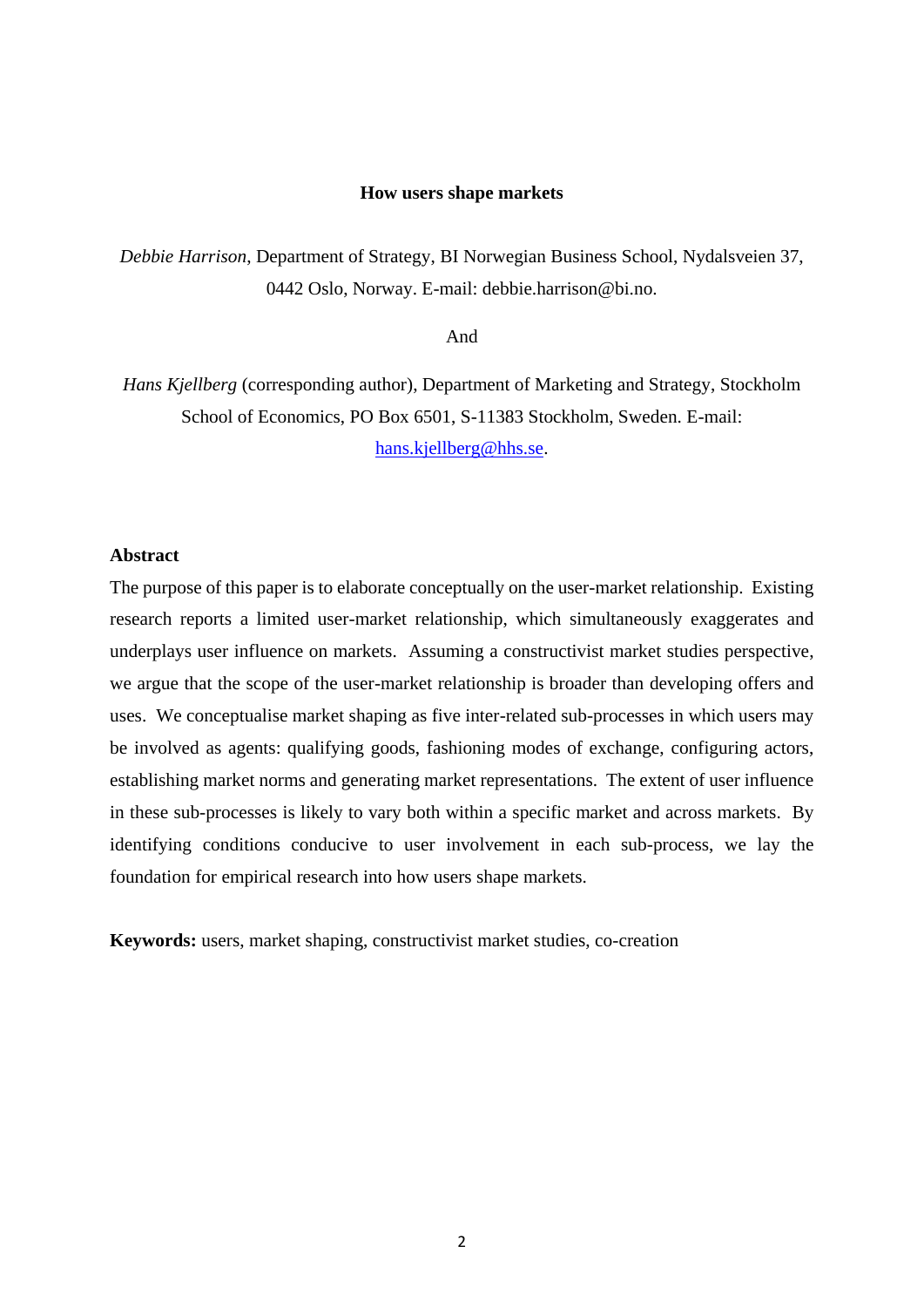#### **How users shape markets**

*Debbie Harrison*, Department of Strategy, BI Norwegian Business School, Nydalsveien 37, 0442 Oslo, Norway. E-mail: debbie.harrison@bi.no.

And

*Hans Kjellberg* (corresponding author), Department of Marketing and Strategy, Stockholm School of Economics, PO Box 6501, S-11383 Stockholm, Sweden. E-mail: [hans.kjellberg@hhs.se.](mailto:hans.kjellberg@hhs.se)

# **Abstract**

The purpose of this paper is to elaborate conceptually on the user-market relationship. Existing research reports a limited user-market relationship, which simultaneously exaggerates and underplays user influence on markets. Assuming a constructivist market studies perspective, we argue that the scope of the user-market relationship is broader than developing offers and uses. We conceptualise market shaping as five inter-related sub-processes in which users may be involved as agents: qualifying goods, fashioning modes of exchange, configuring actors, establishing market norms and generating market representations. The extent of user influence in these sub-processes is likely to vary both within a specific market and across markets. By identifying conditions conducive to user involvement in each sub-process, we lay the foundation for empirical research into how users shape markets.

**Keywords:** users, market shaping, constructivist market studies, co-creation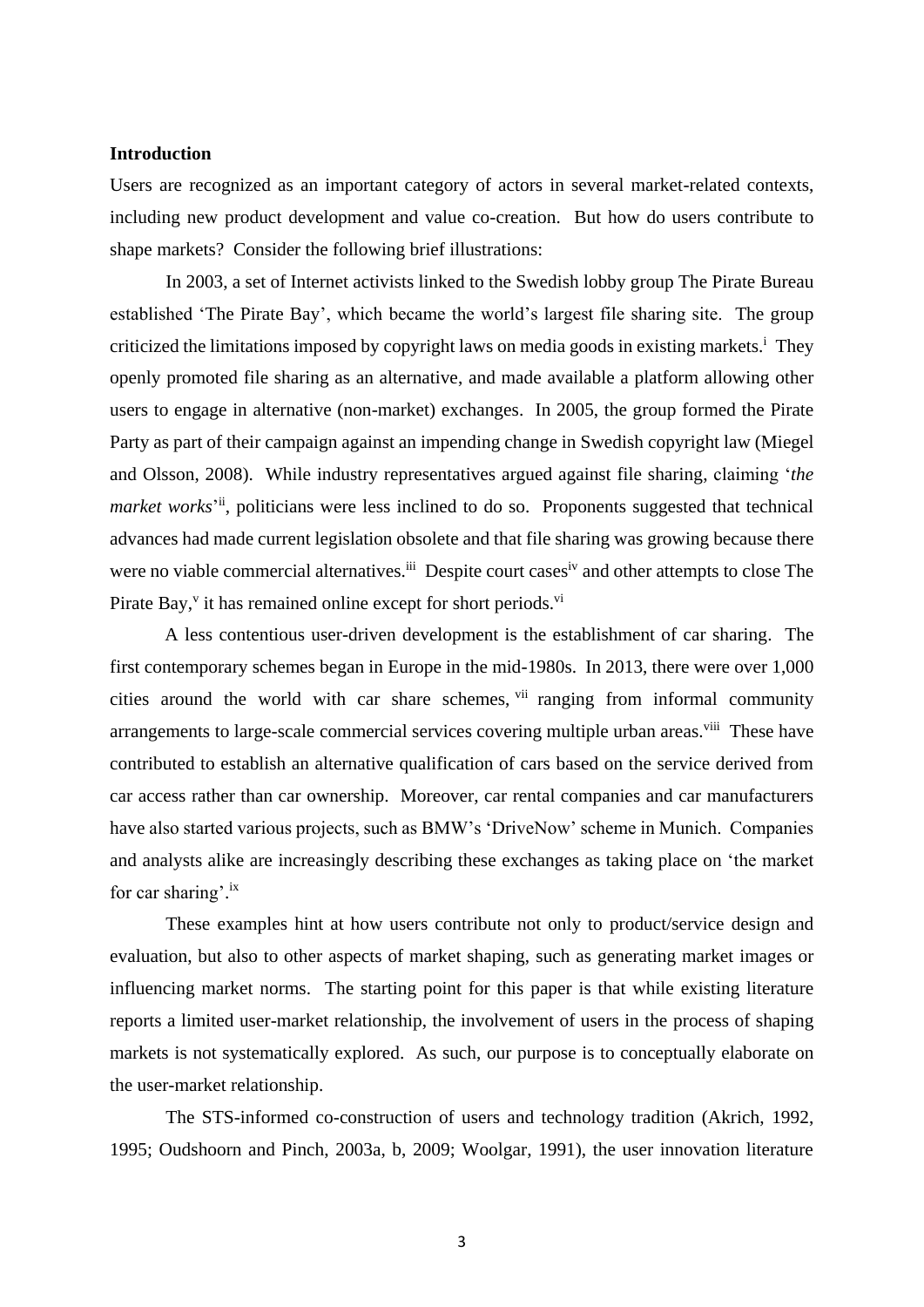## **Introduction**

Users are recognized as an important category of actors in several market-related contexts, including new product development and value co-creation. But how do users contribute to shape markets? Consider the following brief illustrations:

In 2003, a set of Internet activists linked to the Swedish lobby group The Pirate Bureau established 'The Pirate Bay', which became the world's largest file sharing site. The group criticized the limitations imposed by copyright laws on media goods in existing markets.<sup>i</sup> They openly promoted file sharing as an alternative, and made available a platform allowing other users to engage in alternative (non-market) exchanges. In 2005, the group formed the Pirate Party as part of their campaign against an impending change in Swedish copyright law (Miegel and Olsson, 2008). While industry representatives argued against file sharing, claiming '*the*  market works<sup>, ii</sup>, politicians were less inclined to do so. Proponents suggested that technical advances had made current legislation obsolete and that file sharing was growing because there were no viable commercial alternatives.<sup>iii</sup> Despite court cases<sup>iv</sup> and other attempts to close The Pirate Bay,<sup>v</sup> it has remained online except for short periods.<sup>vi</sup>

A less contentious user-driven development is the establishment of car sharing. The first contemporary schemes began in Europe in the mid-1980s. In 2013, there were over 1,000 cities around the world with car share schemes, vii ranging from informal community arrangements to large-scale commercial services covering multiple urban areas.<sup>viii</sup> These have contributed to establish an alternative qualification of cars based on the service derived from car access rather than car ownership. Moreover, car rental companies and car manufacturers have also started various projects, such as BMW's 'DriveNow' scheme in Munich. Companies and analysts alike are increasingly describing these exchanges as taking place on 'the market for car sharing'.ix

These examples hint at how users contribute not only to product/service design and evaluation, but also to other aspects of market shaping, such as generating market images or influencing market norms. The starting point for this paper is that while existing literature reports a limited user-market relationship, the involvement of users in the process of shaping markets is not systematically explored. As such, our purpose is to conceptually elaborate on the user-market relationship.

The STS-informed co-construction of users and technology tradition (Akrich, 1992, 1995; Oudshoorn and Pinch, 2003a, b, 2009; Woolgar, 1991), the user innovation literature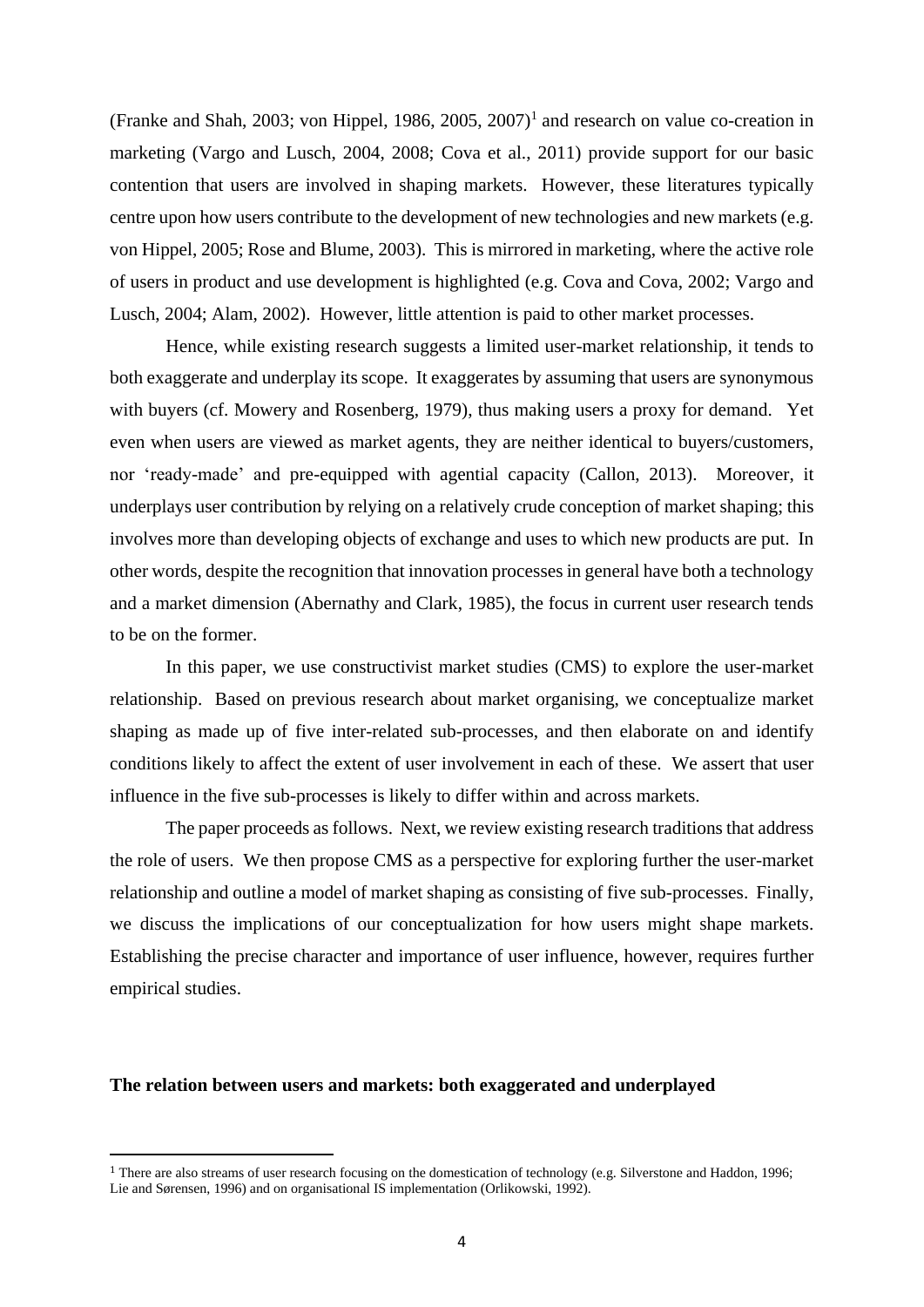(Franke and Shah, 2003; von Hippel, 1986, 2005, 2007)<sup>1</sup> and research on value co-creation in marketing (Vargo and Lusch, 2004, 2008; Cova et al., 2011) provide support for our basic contention that users are involved in shaping markets. However, these literatures typically centre upon how users contribute to the development of new technologies and new markets (e.g. von Hippel, 2005; Rose and Blume, 2003). This is mirrored in marketing, where the active role of users in product and use development is highlighted (e.g. Cova and Cova, 2002; Vargo and Lusch, 2004; Alam, 2002). However, little attention is paid to other market processes.

Hence, while existing research suggests a limited user-market relationship, it tends to both exaggerate and underplay its scope. It exaggerates by assuming that users are synonymous with buyers (cf. Mowery and Rosenberg, 1979), thus making users a proxy for demand. Yet even when users are viewed as market agents, they are neither identical to buyers/customers, nor 'ready-made' and pre-equipped with agential capacity (Callon, 2013). Moreover, it underplays user contribution by relying on a relatively crude conception of market shaping; this involves more than developing objects of exchange and uses to which new products are put. In other words, despite the recognition that innovation processes in general have both a technology and a market dimension (Abernathy and Clark, 1985), the focus in current user research tends to be on the former.

In this paper, we use constructivist market studies (CMS) to explore the user-market relationship. Based on previous research about market organising, we conceptualize market shaping as made up of five inter-related sub-processes, and then elaborate on and identify conditions likely to affect the extent of user involvement in each of these. We assert that user influence in the five sub-processes is likely to differ within and across markets.

The paper proceeds as follows. Next, we review existing research traditions that address the role of users. We then propose CMS as a perspective for exploring further the user-market relationship and outline a model of market shaping as consisting of five sub-processes. Finally, we discuss the implications of our conceptualization for how users might shape markets. Establishing the precise character and importance of user influence, however, requires further empirical studies.

#### **The relation between users and markets: both exaggerated and underplayed**

**.** 

<sup>1</sup> There are also streams of user research focusing on the domestication of technology (e.g. Silverstone and Haddon, 1996; Lie and Sørensen, 1996) and on organisational IS implementation (Orlikowski, 1992).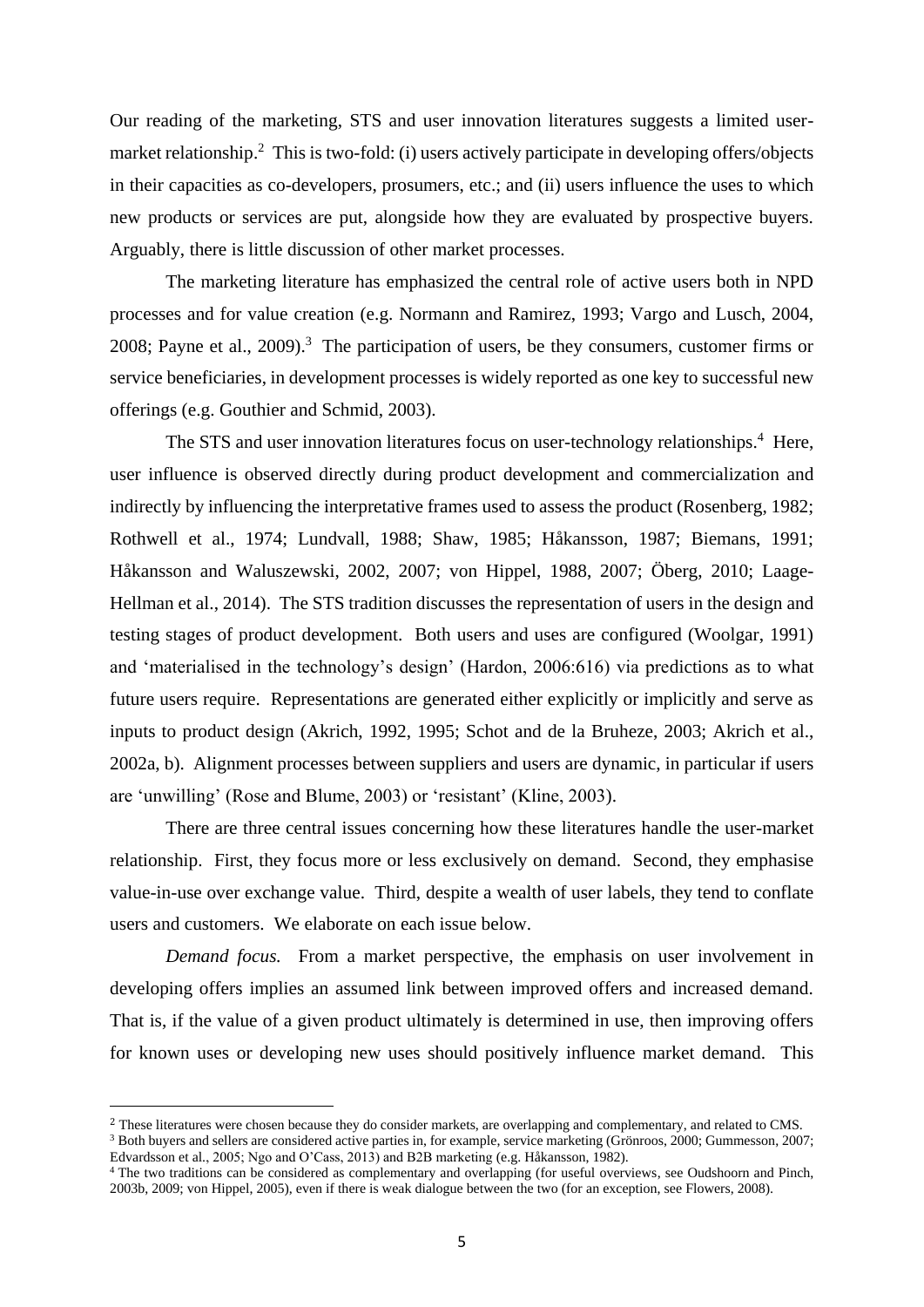Our reading of the marketing, STS and user innovation literatures suggests a limited usermarket relationship.<sup>2</sup> This is two-fold: (i) users actively participate in developing offers/objects in their capacities as co-developers, prosumers, etc.; and (ii) users influence the uses to which new products or services are put, alongside how they are evaluated by prospective buyers. Arguably, there is little discussion of other market processes.

The marketing literature has emphasized the central role of active users both in NPD processes and for value creation (e.g. Normann and Ramirez, 1993; Vargo and Lusch, 2004, 2008; Payne et al., 2009).<sup>3</sup> The participation of users, be they consumers, customer firms or service beneficiaries, in development processes is widely reported as one key to successful new offerings (e.g. Gouthier and Schmid, 2003).

The STS and user innovation literatures focus on user-technology relationships.<sup>4</sup> Here, user influence is observed directly during product development and commercialization and indirectly by influencing the interpretative frames used to assess the product (Rosenberg, 1982; Rothwell et al., 1974; Lundvall, 1988; Shaw, 1985; Håkansson, 1987; Biemans, 1991; Håkansson and Waluszewski, 2002, 2007; von Hippel, 1988, 2007; Öberg, 2010; Laage-Hellman et al., 2014). The STS tradition discusses the representation of users in the design and testing stages of product development. Both users and uses are configured (Woolgar, 1991) and 'materialised in the technology's design' (Hardon, 2006:616) via predictions as to what future users require. Representations are generated either explicitly or implicitly and serve as inputs to product design (Akrich, 1992, 1995; Schot and de la Bruheze, 2003; Akrich et al., 2002a, b). Alignment processes between suppliers and users are dynamic, in particular if users are 'unwilling' (Rose and Blume, 2003) or 'resistant' (Kline, 2003).

There are three central issues concerning how these literatures handle the user-market relationship. First, they focus more or less exclusively on demand. Second, they emphasise value-in-use over exchange value. Third, despite a wealth of user labels, they tend to conflate users and customers. We elaborate on each issue below.

*Demand focus.* From a market perspective, the emphasis on user involvement in developing offers implies an assumed link between improved offers and increased demand. That is, if the value of a given product ultimately is determined in use, then improving offers for known uses or developing new uses should positively influence market demand. This

**.** 

<sup>2</sup> These literatures were chosen because they do consider markets, are overlapping and complementary, and related to CMS. <sup>3</sup> Both buyers and sellers are considered active parties in, for example, service marketing (Grönroos, 2000; Gummesson, 2007; Edvardsson et al., 2005; Ngo and O'Cass, 2013) and B2B marketing (e.g. Håkansson, 1982).

<sup>4</sup> The two traditions can be considered as complementary and overlapping (for useful overviews, see Oudshoorn and Pinch, 2003b, 2009; von Hippel, 2005), even if there is weak dialogue between the two (for an exception, see Flowers, 2008).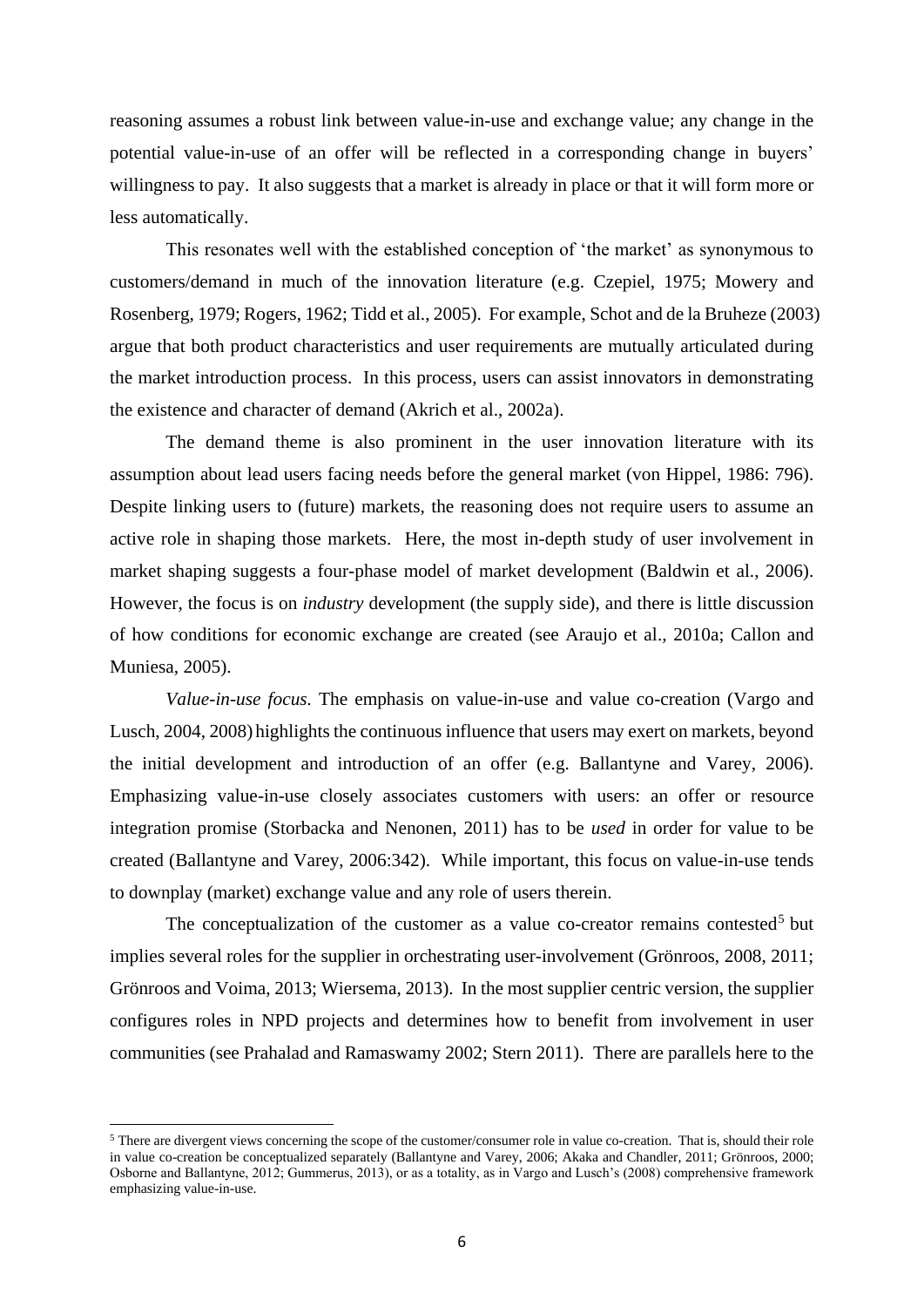reasoning assumes a robust link between value-in-use and exchange value; any change in the potential value-in-use of an offer will be reflected in a corresponding change in buyers' willingness to pay. It also suggests that a market is already in place or that it will form more or less automatically.

This resonates well with the established conception of 'the market' as synonymous to customers/demand in much of the innovation literature (e.g. Czepiel, 1975; Mowery and Rosenberg, 1979; Rogers, 1962; Tidd et al., 2005). For example, Schot and de la Bruheze (2003) argue that both product characteristics and user requirements are mutually articulated during the market introduction process. In this process, users can assist innovators in demonstrating the existence and character of demand (Akrich et al., 2002a).

The demand theme is also prominent in the user innovation literature with its assumption about lead users facing needs before the general market (von Hippel, 1986: 796). Despite linking users to (future) markets, the reasoning does not require users to assume an active role in shaping those markets. Here, the most in-depth study of user involvement in market shaping suggests a four-phase model of market development (Baldwin et al., 2006). However, the focus is on *industry* development (the supply side), and there is little discussion of how conditions for economic exchange are created (see Araujo et al., 2010a; Callon and Muniesa, 2005).

*Value-in-use focus.* The emphasis on value-in-use and value co-creation (Vargo and Lusch, 2004, 2008) highlights the continuous influence that users may exert on markets, beyond the initial development and introduction of an offer (e.g. Ballantyne and Varey, 2006). Emphasizing value-in-use closely associates customers with users: an offer or resource integration promise (Storbacka and Nenonen, 2011) has to be *used* in order for value to be created (Ballantyne and Varey, 2006:342). While important, this focus on value-in-use tends to downplay (market) exchange value and any role of users therein.

The conceptualization of the customer as a value co-creator remains contested<sup>5</sup> but implies several roles for the supplier in orchestrating user-involvement (Grönroos, 2008, 2011; Grönroos and Voima, 2013; Wiersema, 2013). In the most supplier centric version, the supplier configures roles in NPD projects and determines how to benefit from involvement in user communities (see Prahalad and Ramaswamy 2002; Stern 2011). There are parallels here to the

1

<sup>&</sup>lt;sup>5</sup> There are divergent views concerning the scope of the customer/consumer role in value co-creation. That is, should their role in value co-creation be conceptualized separately (Ballantyne and Varey, 2006; Akaka and Chandler, 2011; Grönroos, 2000; Osborne and Ballantyne, 2012; Gummerus, 2013), or as a totality, as in Vargo and Lusch's (2008) comprehensive framework emphasizing value-in-use.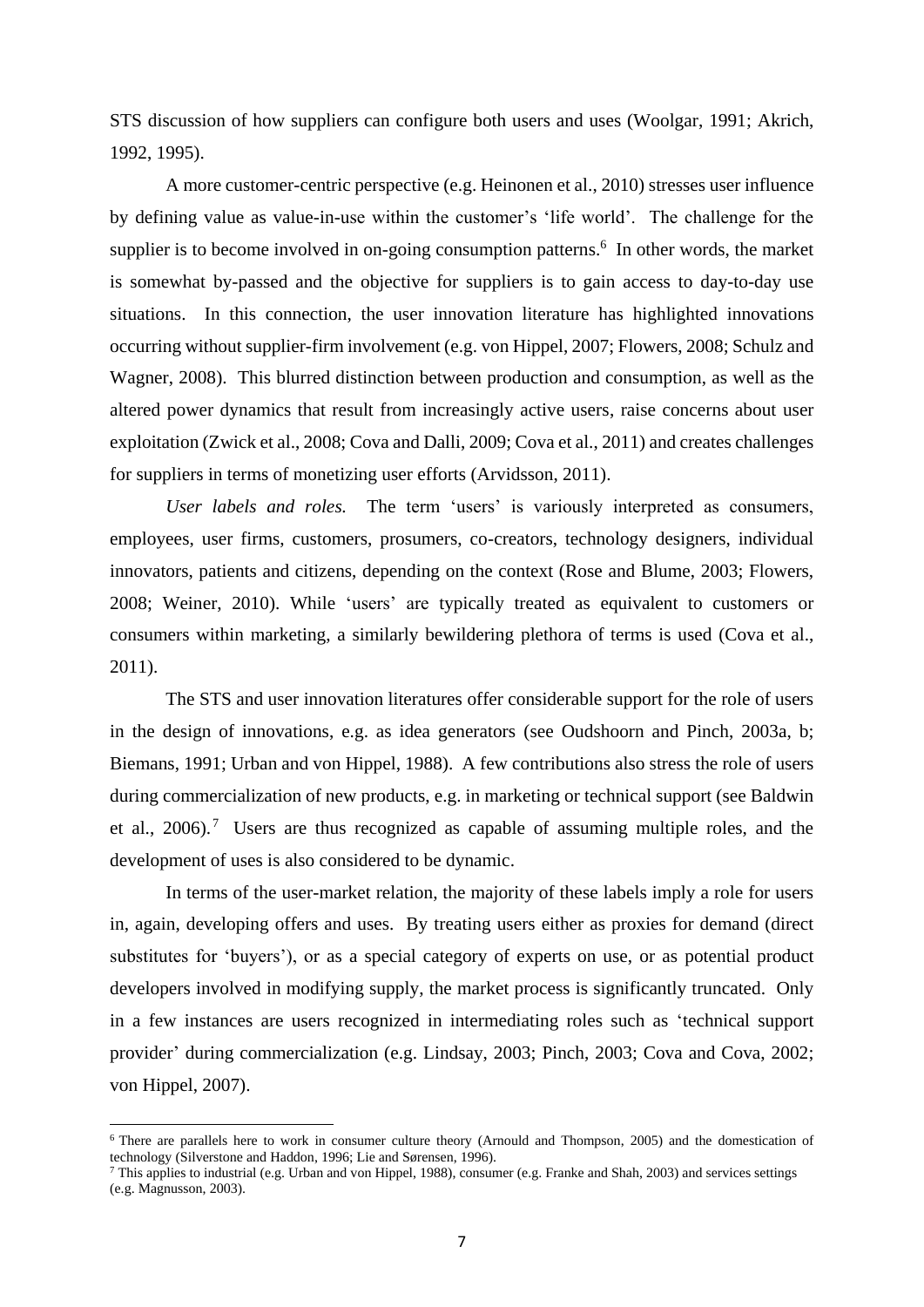STS discussion of how suppliers can configure both users and uses (Woolgar, 1991; Akrich, 1992, 1995).

A more customer-centric perspective (e.g. Heinonen et al., 2010) stresses user influence by defining value as value-in-use within the customer's 'life world'. The challenge for the supplier is to become involved in on-going consumption patterns.<sup>6</sup> In other words, the market is somewhat by-passed and the objective for suppliers is to gain access to day-to-day use situations. In this connection, the user innovation literature has highlighted innovations occurring without supplier-firm involvement (e.g. von Hippel, 2007; Flowers, 2008; Schulz and Wagner, 2008). This blurred distinction between production and consumption, as well as the altered power dynamics that result from increasingly active users, raise concerns about user exploitation (Zwick et al., 2008; Cova and Dalli, 2009; Cova et al., 2011) and creates challenges for suppliers in terms of monetizing user efforts (Arvidsson, 2011).

*User labels and roles.* The term 'users' is variously interpreted as consumers, employees, user firms, customers, prosumers, co-creators, technology designers, individual innovators, patients and citizens, depending on the context (Rose and Blume, 2003; Flowers, 2008; Weiner, 2010). While 'users' are typically treated as equivalent to customers or consumers within marketing, a similarly bewildering plethora of terms is used (Cova et al., 2011).

The STS and user innovation literatures offer considerable support for the role of users in the design of innovations, e.g. as idea generators (see Oudshoorn and Pinch, 2003a, b; Biemans, 1991; Urban and von Hippel, 1988). A few contributions also stress the role of users during commercialization of new products, e.g. in marketing or technical support (see Baldwin et al., 2006). 7 Users are thus recognized as capable of assuming multiple roles, and the development of uses is also considered to be dynamic.

In terms of the user-market relation, the majority of these labels imply a role for users in, again, developing offers and uses. By treating users either as proxies for demand (direct substitutes for 'buyers'), or as a special category of experts on use, or as potential product developers involved in modifying supply, the market process is significantly truncated. Only in a few instances are users recognized in intermediating roles such as 'technical support provider' during commercialization (e.g. Lindsay, 2003; Pinch, 2003; Cova and Cova, 2002; von Hippel, 2007).

1

<sup>6</sup> There are parallels here to work in consumer culture theory (Arnould and Thompson, 2005) and the domestication of technology (Silverstone and Haddon, 1996; Lie and Sørensen, 1996).

 $^7$  This applies to industrial (e.g. Urban and von Hippel, 1988), consumer (e.g. Franke and Shah, 2003) and services settings (e.g. Magnusson, 2003).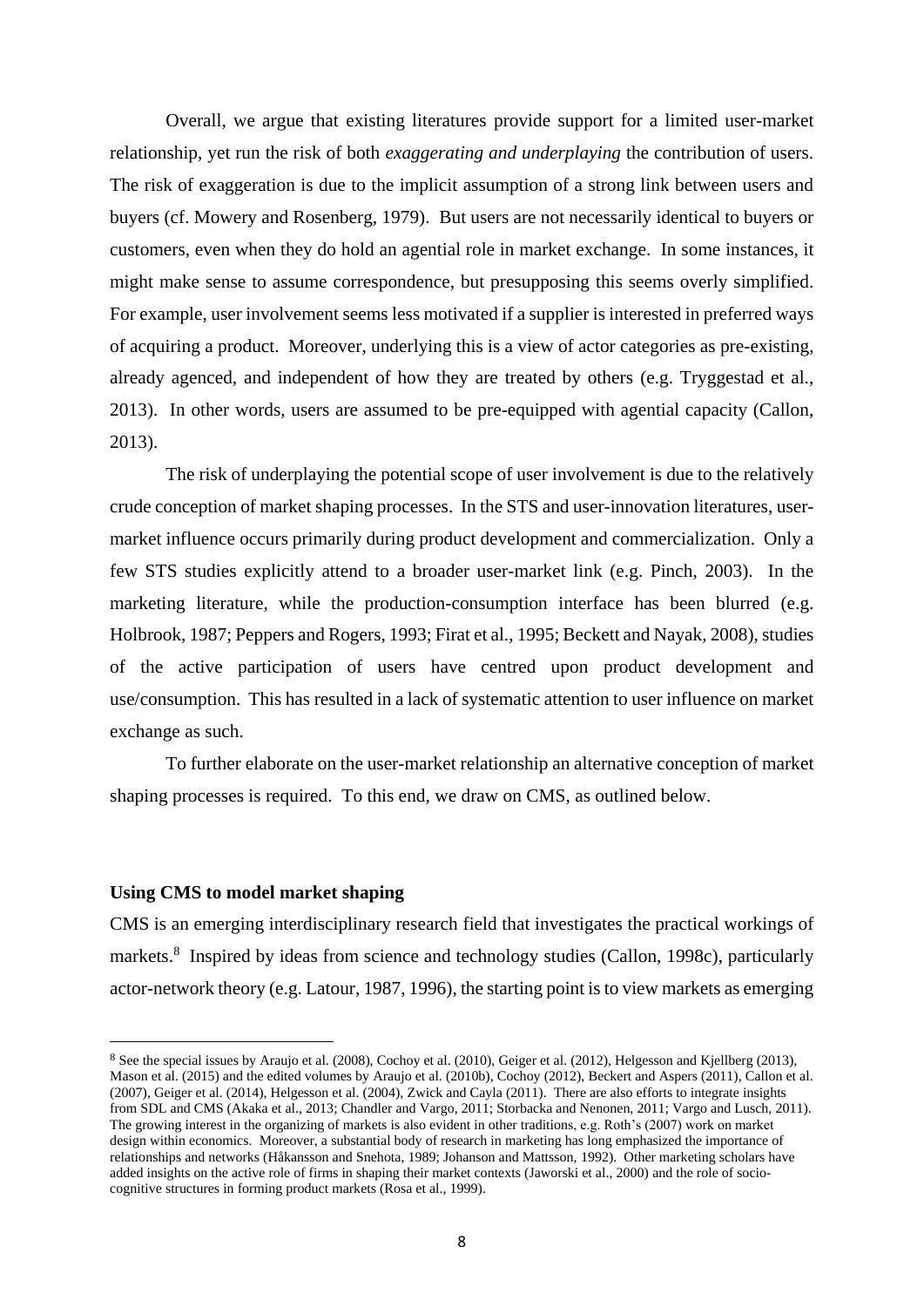Overall, we argue that existing literatures provide support for a limited user-market relationship, yet run the risk of both *exaggerating and underplaying* the contribution of users. The risk of exaggeration is due to the implicit assumption of a strong link between users and buyers (cf. Mowery and Rosenberg, 1979). But users are not necessarily identical to buyers or customers, even when they do hold an agential role in market exchange. In some instances, it might make sense to assume correspondence, but presupposing this seems overly simplified. For example, user involvement seems less motivated if a supplier is interested in preferred ways of acquiring a product. Moreover, underlying this is a view of actor categories as pre-existing, already agenced, and independent of how they are treated by others (e.g. Tryggestad et al., 2013). In other words, users are assumed to be pre-equipped with agential capacity (Callon, 2013).

The risk of underplaying the potential scope of user involvement is due to the relatively crude conception of market shaping processes. In the STS and user-innovation literatures, usermarket influence occurs primarily during product development and commercialization. Only a few STS studies explicitly attend to a broader user-market link (e.g. Pinch, 2003). In the marketing literature, while the production-consumption interface has been blurred (e.g. Holbrook, 1987; Peppers and Rogers, 1993; Firat et al., 1995; Beckett and Nayak, 2008), studies of the active participation of users have centred upon product development and use/consumption. This has resulted in a lack of systematic attention to user influence on market exchange as such.

To further elaborate on the user-market relationship an alternative conception of market shaping processes is required. To this end, we draw on CMS, as outlined below.

#### **Using CMS to model market shaping**

**.** 

CMS is an emerging interdisciplinary research field that investigates the practical workings of markets.<sup>8</sup> Inspired by ideas from science and technology studies (Callon, 1998c), particularly actor-network theory (e.g. Latour, 1987, 1996), the starting point isto view markets as emerging

<sup>8</sup> See the special issues by Araujo et al. (2008), Cochoy et al. (2010), Geiger et al. (2012), Helgesson and Kjellberg (2013), Mason et al. (2015) and the edited volumes by Araujo et al. (2010b), Cochoy (2012), Beckert and Aspers (2011), Callon et al. (2007), Geiger et al. (2014), Helgesson et al. (2004), Zwick and Cayla (2011). There are also efforts to integrate insights from SDL and CMS (Akaka et al., 2013; Chandler and Vargo, 2011; Storbacka and Nenonen, 2011; Vargo and Lusch, 2011). The growing interest in the organizing of markets is also evident in other traditions, e.g. Roth's (2007) work on market design within economics. Moreover, a substantial body of research in marketing has long emphasized the importance of relationships and networks (Håkansson and Snehota, 1989; Johanson and Mattsson, 1992). Other marketing scholars have added insights on the active role of firms in shaping their market contexts (Jaworski et al., 2000) and the role of sociocognitive structures in forming product markets (Rosa et al., 1999).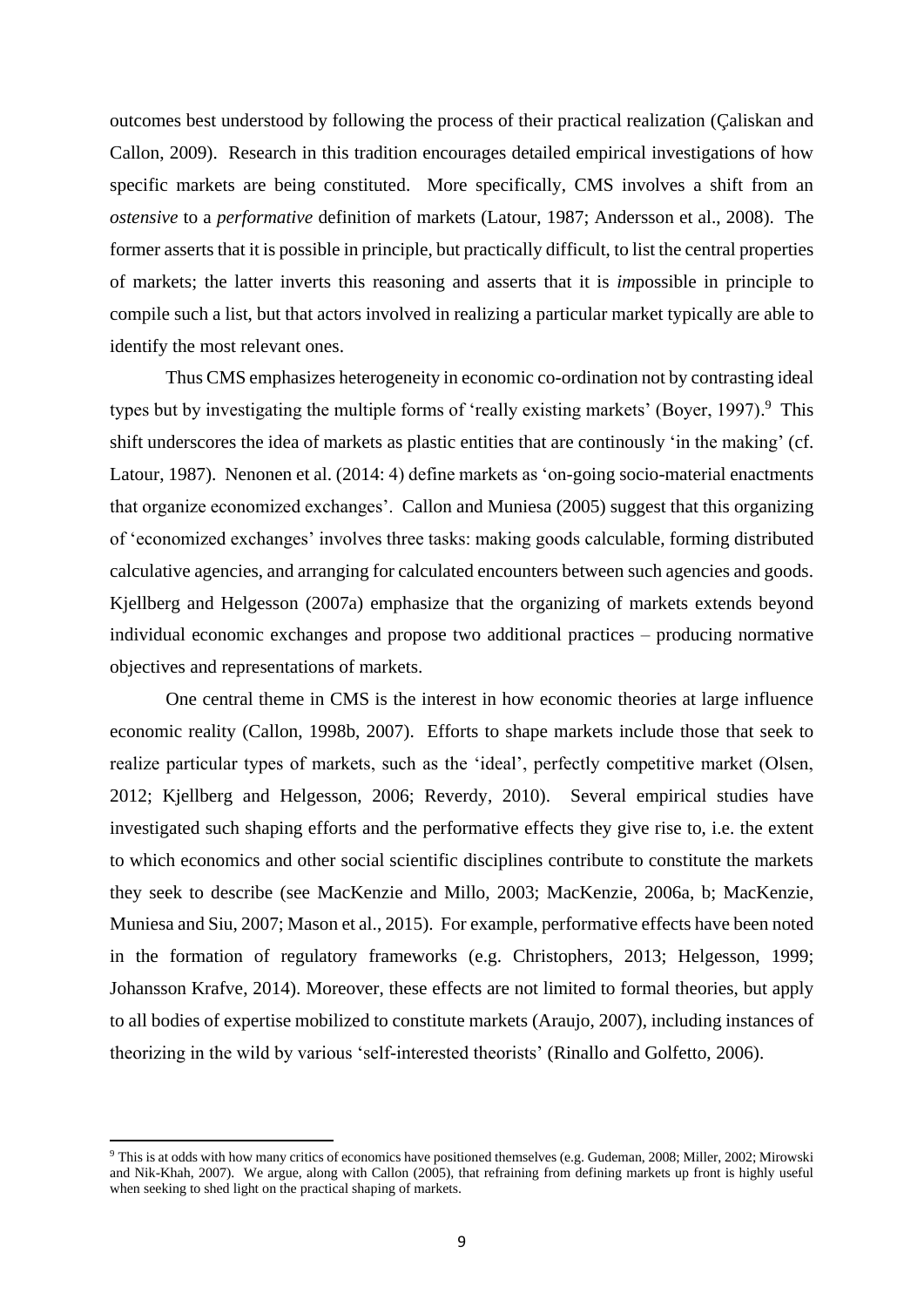outcomes best understood by following the process of their practical realization (Çaliskan and Callon, 2009). Research in this tradition encourages detailed empirical investigations of how specific markets are being constituted. More specifically, CMS involves a shift from an *ostensive* to a *performative* definition of markets (Latour, 1987; Andersson et al., 2008). The former asserts that it is possible in principle, but practically difficult, to list the central properties of markets; the latter inverts this reasoning and asserts that it is *im*possible in principle to compile such a list, but that actors involved in realizing a particular market typically are able to identify the most relevant ones.

Thus CMS emphasizes heterogeneity in economic co-ordination not by contrasting ideal types but by investigating the multiple forms of 'really existing markets' (Boyer, 1997).<sup>9</sup> This shift underscores the idea of markets as plastic entities that are continously 'in the making' (cf. Latour, 1987). Nenonen et al. (2014: 4) define markets as 'on-going socio-material enactments that organize economized exchanges'. Callon and Muniesa (2005) suggest that this organizing of 'economized exchanges' involves three tasks: making goods calculable, forming distributed calculative agencies, and arranging for calculated encounters between such agencies and goods. Kjellberg and Helgesson (2007a) emphasize that the organizing of markets extends beyond individual economic exchanges and propose two additional practices – producing normative objectives and representations of markets.

One central theme in CMS is the interest in how economic theories at large influence economic reality (Callon, 1998b, 2007). Efforts to shape markets include those that seek to realize particular types of markets, such as the 'ideal', perfectly competitive market (Olsen, 2012; Kjellberg and Helgesson, 2006; Reverdy, 2010). Several empirical studies have investigated such shaping efforts and the performative effects they give rise to, i.e. the extent to which economics and other social scientific disciplines contribute to constitute the markets they seek to describe (see MacKenzie and Millo, 2003; MacKenzie, 2006a, b; MacKenzie, Muniesa and Siu, 2007; Mason et al., 2015). For example, performative effects have been noted in the formation of regulatory frameworks (e.g. Christophers, 2013; Helgesson, 1999; Johansson Krafve, 2014). Moreover, these effects are not limited to formal theories, but apply to all bodies of expertise mobilized to constitute markets (Araujo, 2007), including instances of theorizing in the wild by various 'self-interested theorists' (Rinallo and Golfetto, 2006).

**.** 

<sup>9</sup> This is at odds with how many critics of economics have positioned themselves (e.g. Gudeman, 2008; Miller, 2002; Mirowski and Nik-Khah, 2007). We argue, along with Callon (2005), that refraining from defining markets up front is highly useful when seeking to shed light on the practical shaping of markets.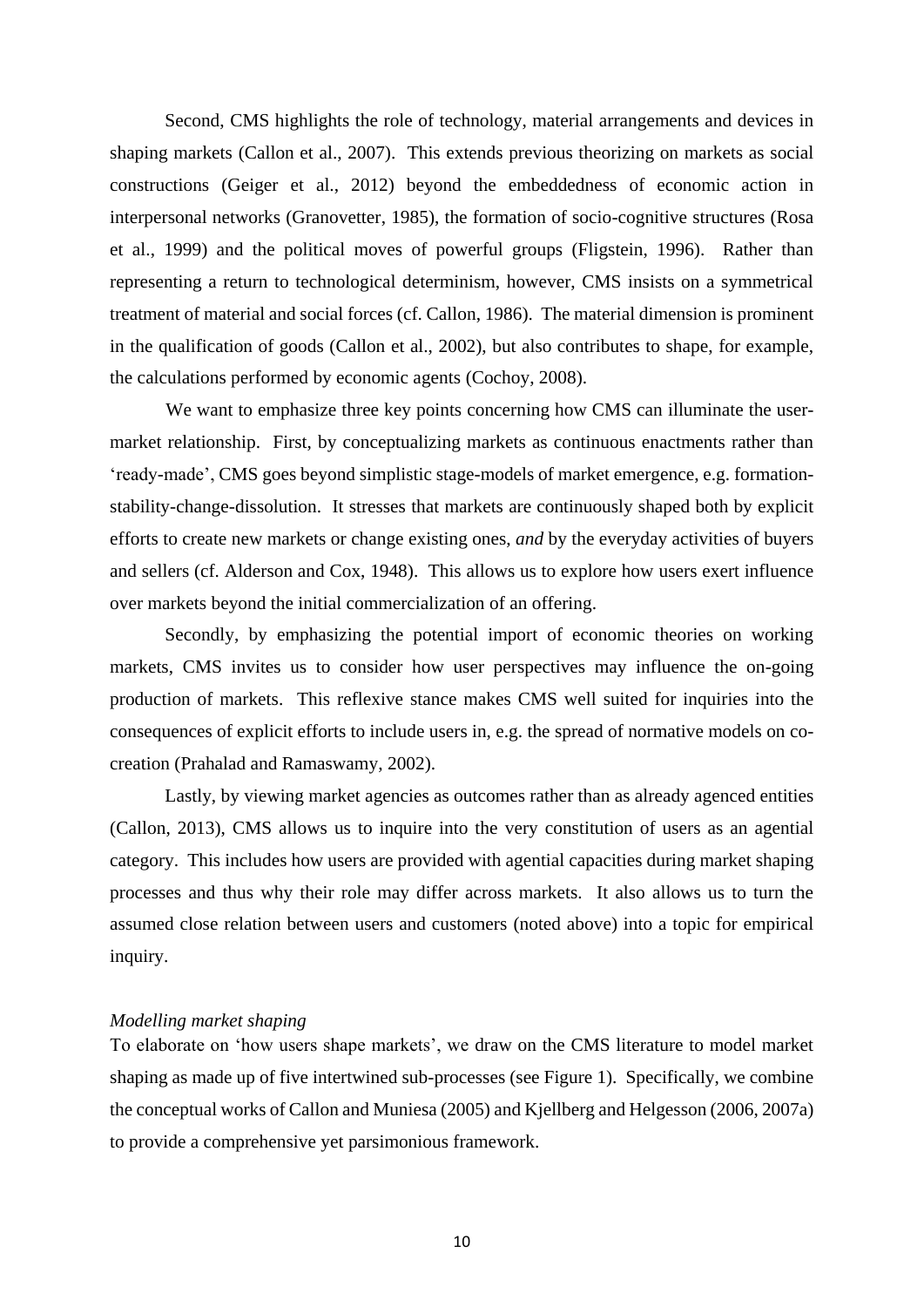Second, CMS highlights the role of technology, material arrangements and devices in shaping markets (Callon et al., 2007). This extends previous theorizing on markets as social constructions (Geiger et al., 2012) beyond the embeddedness of economic action in interpersonal networks (Granovetter, 1985), the formation of socio-cognitive structures (Rosa et al., 1999) and the political moves of powerful groups (Fligstein, 1996). Rather than representing a return to technological determinism, however, CMS insists on a symmetrical treatment of material and social forces (cf. Callon, 1986). The material dimension is prominent in the qualification of goods (Callon et al., 2002), but also contributes to shape, for example, the calculations performed by economic agents (Cochoy, 2008).

We want to emphasize three key points concerning how CMS can illuminate the usermarket relationship. First, by conceptualizing markets as continuous enactments rather than 'ready-made', CMS goes beyond simplistic stage-models of market emergence, e.g. formationstability-change-dissolution. It stresses that markets are continuously shaped both by explicit efforts to create new markets or change existing ones, *and* by the everyday activities of buyers and sellers (cf. Alderson and Cox, 1948). This allows us to explore how users exert influence over markets beyond the initial commercialization of an offering.

Secondly, by emphasizing the potential import of economic theories on working markets, CMS invites us to consider how user perspectives may influence the on-going production of markets. This reflexive stance makes CMS well suited for inquiries into the consequences of explicit efforts to include users in, e.g. the spread of normative models on cocreation (Prahalad and Ramaswamy, 2002).

Lastly, by viewing market agencies as outcomes rather than as already agenced entities (Callon, 2013), CMS allows us to inquire into the very constitution of users as an agential category. This includes how users are provided with agential capacities during market shaping processes and thus why their role may differ across markets. It also allows us to turn the assumed close relation between users and customers (noted above) into a topic for empirical inquiry.

#### *Modelling market shaping*

To elaborate on 'how users shape markets', we draw on the CMS literature to model market shaping as made up of five intertwined sub-processes (see Figure 1). Specifically, we combine the conceptual works of Callon and Muniesa (2005) and Kjellberg and Helgesson (2006, 2007a) to provide a comprehensive yet parsimonious framework.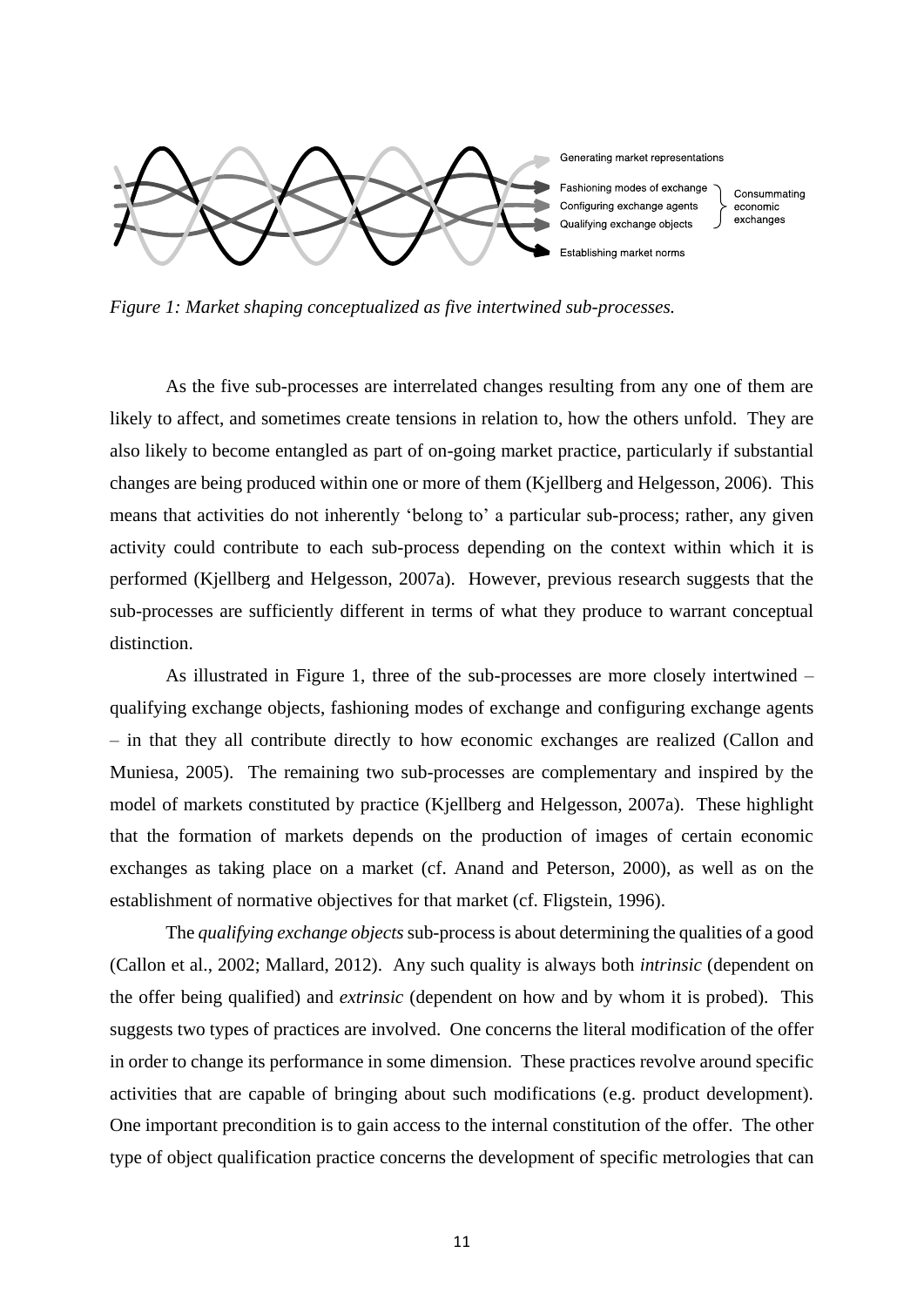

Consummating economic exchanges

*Figure 1: Market shaping conceptualized as five intertwined sub-processes.*

As the five sub-processes are interrelated changes resulting from any one of them are likely to affect, and sometimes create tensions in relation to, how the others unfold. They are also likely to become entangled as part of on-going market practice, particularly if substantial changes are being produced within one or more of them (Kjellberg and Helgesson, 2006). This means that activities do not inherently 'belong to' a particular sub-process; rather, any given activity could contribute to each sub-process depending on the context within which it is performed (Kjellberg and Helgesson, 2007a). However, previous research suggests that the sub-processes are sufficiently different in terms of what they produce to warrant conceptual distinction.

As illustrated in Figure 1, three of the sub-processes are more closely intertwined – qualifying exchange objects, fashioning modes of exchange and configuring exchange agents – in that they all contribute directly to how economic exchanges are realized (Callon and Muniesa, 2005). The remaining two sub-processes are complementary and inspired by the model of markets constituted by practice (Kjellberg and Helgesson, 2007a). These highlight that the formation of markets depends on the production of images of certain economic exchanges as taking place on a market (cf. Anand and Peterson, 2000), as well as on the establishment of normative objectives for that market (cf. Fligstein, 1996).

The *qualifying exchange objects*sub-process is about determining the qualities of a good (Callon et al., 2002; Mallard, 2012). Any such quality is always both *intrinsic* (dependent on the offer being qualified) and *extrinsic* (dependent on how and by whom it is probed). This suggests two types of practices are involved. One concerns the literal modification of the offer in order to change its performance in some dimension. These practices revolve around specific activities that are capable of bringing about such modifications (e.g. product development). One important precondition is to gain access to the internal constitution of the offer. The other type of object qualification practice concerns the development of specific metrologies that can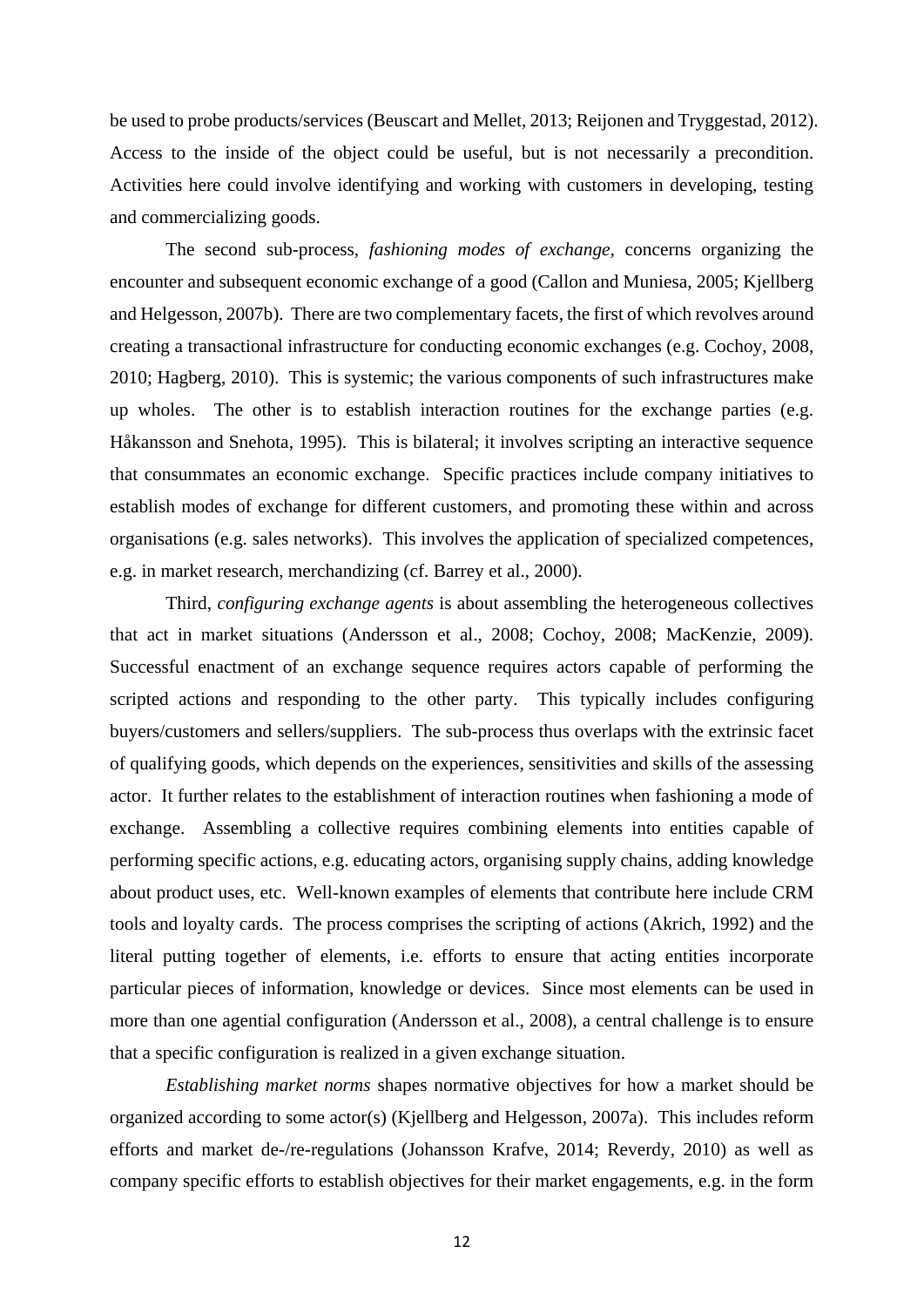be used to probe products/services (Beuscart and Mellet, 2013; Reijonen and Tryggestad, 2012). Access to the inside of the object could be useful, but is not necessarily a precondition. Activities here could involve identifying and working with customers in developing, testing and commercializing goods.

The second sub-process, *fashioning modes of exchange,* concerns organizing the encounter and subsequent economic exchange of a good (Callon and Muniesa, 2005; Kjellberg and Helgesson, 2007b). There are two complementary facets, the first of which revolves around creating a transactional infrastructure for conducting economic exchanges (e.g. Cochoy, 2008, 2010; Hagberg, 2010). This is systemic; the various components of such infrastructures make up wholes. The other is to establish interaction routines for the exchange parties (e.g. Håkansson and Snehota, 1995). This is bilateral; it involves scripting an interactive sequence that consummates an economic exchange. Specific practices include company initiatives to establish modes of exchange for different customers, and promoting these within and across organisations (e.g. sales networks). This involves the application of specialized competences, e.g. in market research, merchandizing (cf. Barrey et al., 2000).

Third, *configuring exchange agents* is about assembling the heterogeneous collectives that act in market situations (Andersson et al., 2008; Cochoy, 2008; MacKenzie, 2009). Successful enactment of an exchange sequence requires actors capable of performing the scripted actions and responding to the other party. This typically includes configuring buyers/customers and sellers/suppliers. The sub-process thus overlaps with the extrinsic facet of qualifying goods, which depends on the experiences, sensitivities and skills of the assessing actor. It further relates to the establishment of interaction routines when fashioning a mode of exchange. Assembling a collective requires combining elements into entities capable of performing specific actions, e.g. educating actors, organising supply chains, adding knowledge about product uses, etc. Well-known examples of elements that contribute here include CRM tools and loyalty cards. The process comprises the scripting of actions (Akrich, 1992) and the literal putting together of elements, i.e. efforts to ensure that acting entities incorporate particular pieces of information, knowledge or devices. Since most elements can be used in more than one agential configuration (Andersson et al., 2008), a central challenge is to ensure that a specific configuration is realized in a given exchange situation.

*Establishing market norms* shapes normative objectives for how a market should be organized according to some actor(s) (Kjellberg and Helgesson, 2007a). This includes reform efforts and market de-/re-regulations (Johansson Krafve, 2014; Reverdy, 2010) as well as company specific efforts to establish objectives for their market engagements, e.g. in the form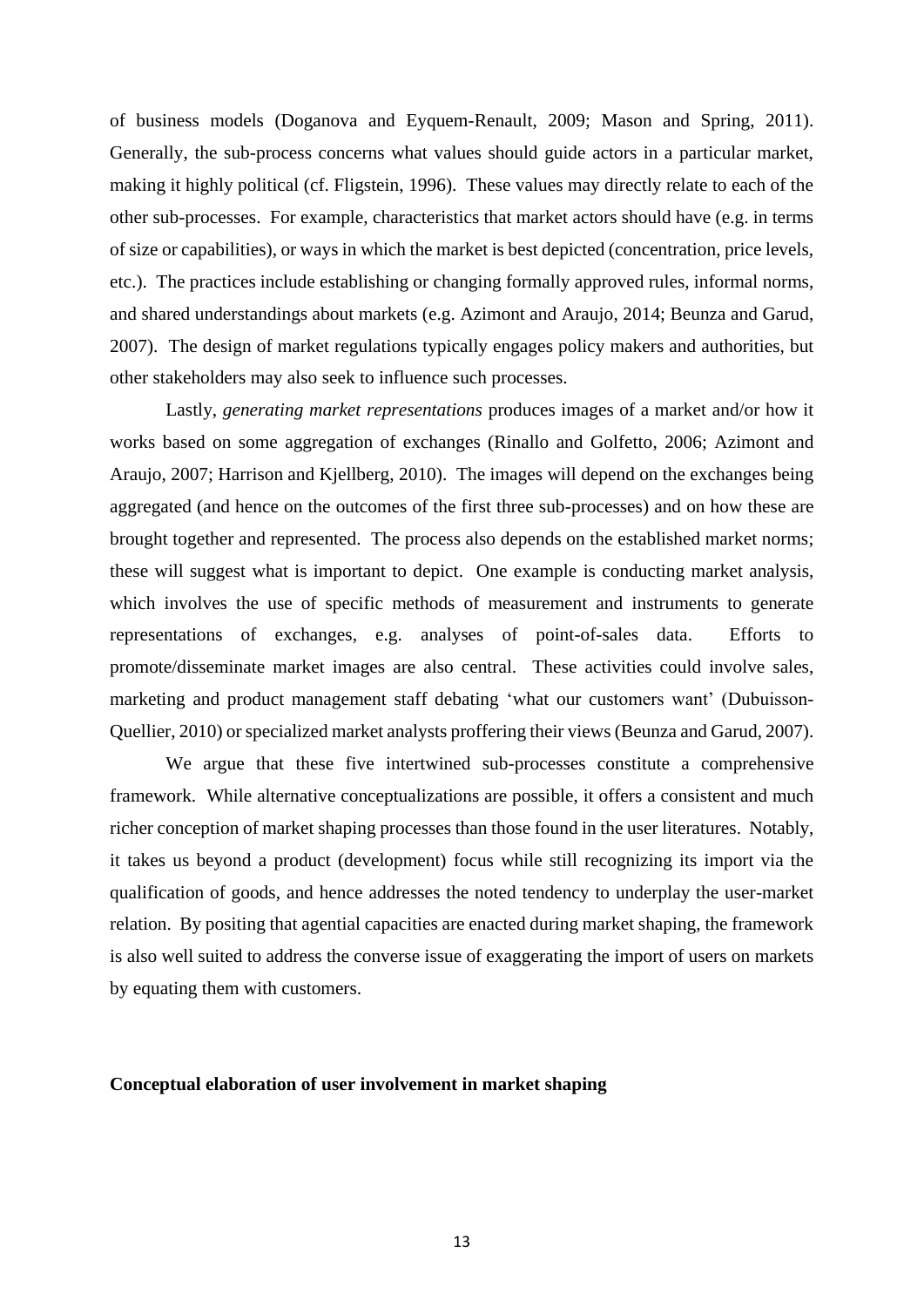of business models (Doganova and Eyquem-Renault, 2009; Mason and Spring, 2011). Generally, the sub-process concerns what values should guide actors in a particular market, making it highly political (cf. Fligstein, 1996). These values may directly relate to each of the other sub-processes. For example, characteristics that market actors should have (e.g. in terms of size or capabilities), or ways in which the market is best depicted (concentration, price levels, etc.). The practices include establishing or changing formally approved rules, informal norms, and shared understandings about markets (e.g. Azimont and Araujo, 2014; Beunza and Garud, 2007). The design of market regulations typically engages policy makers and authorities, but other stakeholders may also seek to influence such processes.

Lastly, *generating market representations* produces images of a market and/or how it works based on some aggregation of exchanges (Rinallo and Golfetto, 2006; Azimont and Araujo, 2007; Harrison and Kjellberg, 2010). The images will depend on the exchanges being aggregated (and hence on the outcomes of the first three sub-processes) and on how these are brought together and represented. The process also depends on the established market norms; these will suggest what is important to depict. One example is conducting market analysis, which involves the use of specific methods of measurement and instruments to generate representations of exchanges, e.g. analyses of point-of-sales data. Efforts to promote/disseminate market images are also central. These activities could involve sales, marketing and product management staff debating 'what our customers want' (Dubuisson-Quellier, 2010) or specialized market analysts proffering their views (Beunza and Garud, 2007).

We argue that these five intertwined sub-processes constitute a comprehensive framework. While alternative conceptualizations are possible, it offers a consistent and much richer conception of market shaping processes than those found in the user literatures. Notably, it takes us beyond a product (development) focus while still recognizing its import via the qualification of goods, and hence addresses the noted tendency to underplay the user-market relation. By positing that agential capacities are enacted during market shaping, the framework is also well suited to address the converse issue of exaggerating the import of users on markets by equating them with customers.

#### **Conceptual elaboration of user involvement in market shaping**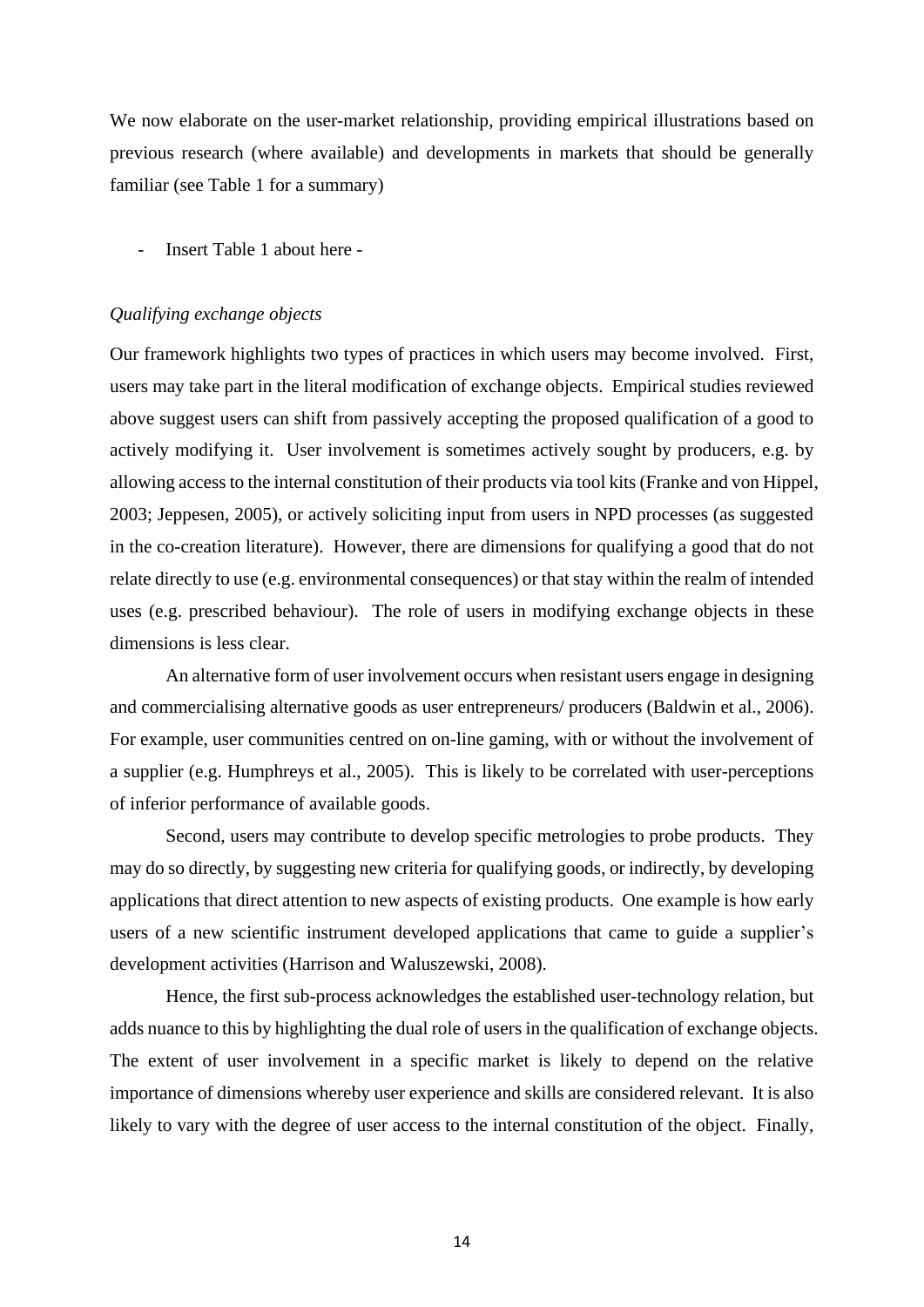We now elaborate on the user-market relationship, providing empirical illustrations based on previous research (where available) and developments in markets that should be generally familiar (see Table 1 for a summary)

- Insert Table 1 about here -

### *Qualifying exchange objects*

Our framework highlights two types of practices in which users may become involved. First, users may take part in the literal modification of exchange objects. Empirical studies reviewed above suggest users can shift from passively accepting the proposed qualification of a good to actively modifying it. User involvement is sometimes actively sought by producers, e.g. by allowing access to the internal constitution of their products via tool kits (Franke and von Hippel, 2003; Jeppesen, 2005), or actively soliciting input from users in NPD processes (as suggested in the co-creation literature). However, there are dimensions for qualifying a good that do not relate directly to use (e.g. environmental consequences) or that stay within the realm of intended uses (e.g. prescribed behaviour). The role of users in modifying exchange objects in these dimensions is less clear.

An alternative form of user involvement occurs when resistant users engage in designing and commercialising alternative goods as user entrepreneurs/ producers (Baldwin et al., 2006). For example, user communities centred on on-line gaming, with or without the involvement of a supplier (e.g. Humphreys et al., 2005). This is likely to be correlated with user-perceptions of inferior performance of available goods.

Second, users may contribute to develop specific metrologies to probe products. They may do so directly, by suggesting new criteria for qualifying goods, or indirectly, by developing applications that direct attention to new aspects of existing products. One example is how early users of a new scientific instrument developed applications that came to guide a supplier's development activities (Harrison and Waluszewski, 2008).

Hence, the first sub-process acknowledges the established user-technology relation, but adds nuance to this by highlighting the dual role of users in the qualification of exchange objects. The extent of user involvement in a specific market is likely to depend on the relative importance of dimensions whereby user experience and skills are considered relevant. It is also likely to vary with the degree of user access to the internal constitution of the object. Finally,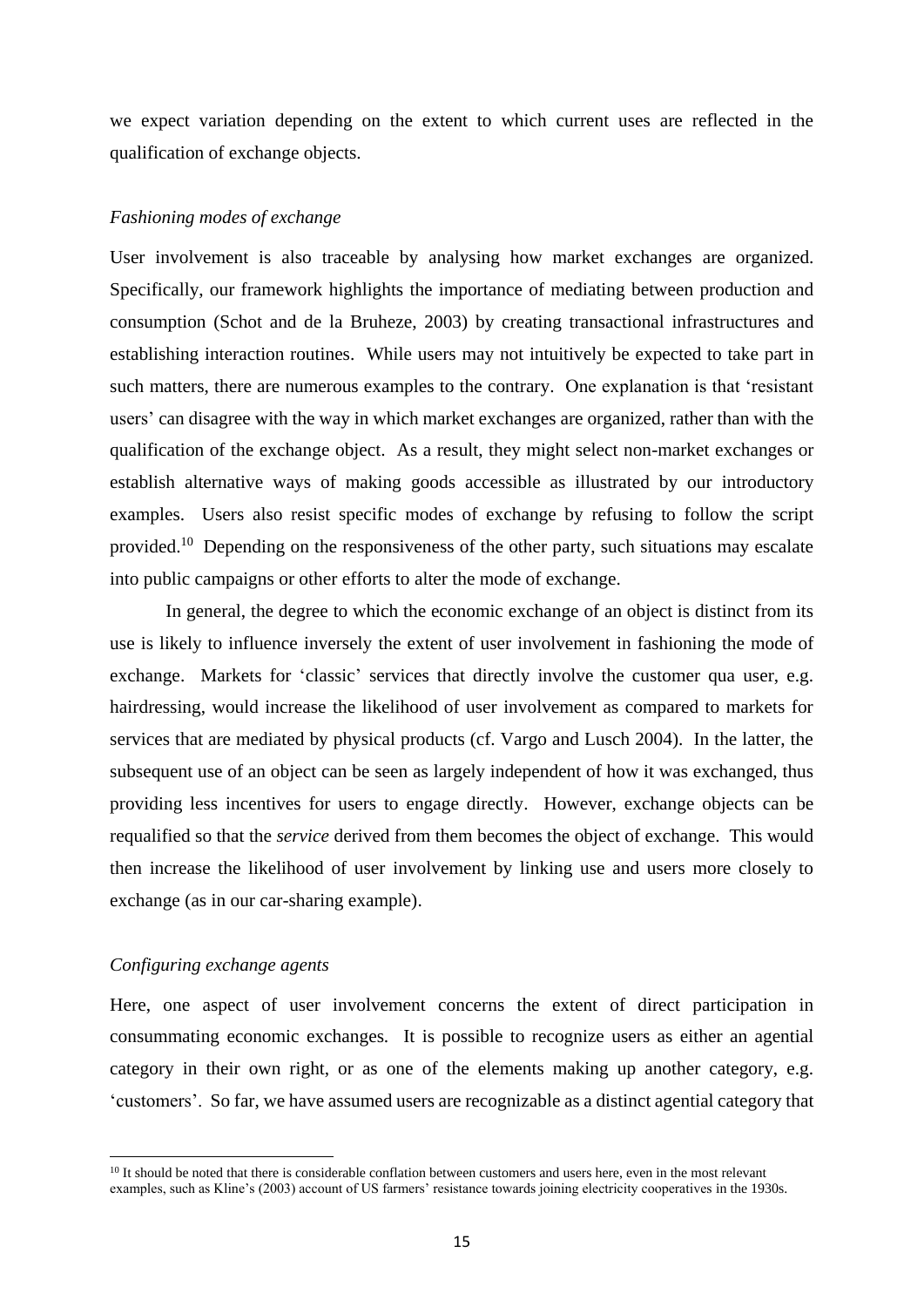we expect variation depending on the extent to which current uses are reflected in the qualification of exchange objects.

## *Fashioning modes of exchange*

User involvement is also traceable by analysing how market exchanges are organized. Specifically, our framework highlights the importance of mediating between production and consumption (Schot and de la Bruheze, 2003) by creating transactional infrastructures and establishing interaction routines. While users may not intuitively be expected to take part in such matters, there are numerous examples to the contrary. One explanation is that 'resistant users' can disagree with the way in which market exchanges are organized, rather than with the qualification of the exchange object. As a result, they might select non-market exchanges or establish alternative ways of making goods accessible as illustrated by our introductory examples. Users also resist specific modes of exchange by refusing to follow the script provided.<sup>10</sup> Depending on the responsiveness of the other party, such situations may escalate into public campaigns or other efforts to alter the mode of exchange.

In general, the degree to which the economic exchange of an object is distinct from its use is likely to influence inversely the extent of user involvement in fashioning the mode of exchange. Markets for 'classic' services that directly involve the customer qua user, e.g. hairdressing, would increase the likelihood of user involvement as compared to markets for services that are mediated by physical products (cf. Vargo and Lusch 2004). In the latter, the subsequent use of an object can be seen as largely independent of how it was exchanged, thus providing less incentives for users to engage directly. However, exchange objects can be requalified so that the *service* derived from them becomes the object of exchange. This would then increase the likelihood of user involvement by linking use and users more closely to exchange (as in our car-sharing example).

## *Configuring exchange agents*

1

Here, one aspect of user involvement concerns the extent of direct participation in consummating economic exchanges. It is possible to recognize users as either an agential category in their own right, or as one of the elements making up another category, e.g. 'customers'. So far, we have assumed users are recognizable as a distinct agential category that

 $10$  It should be noted that there is considerable conflation between customers and users here, even in the most relevant examples, such as Kline's (2003) account of US farmers' resistance towards joining electricity cooperatives in the 1930s.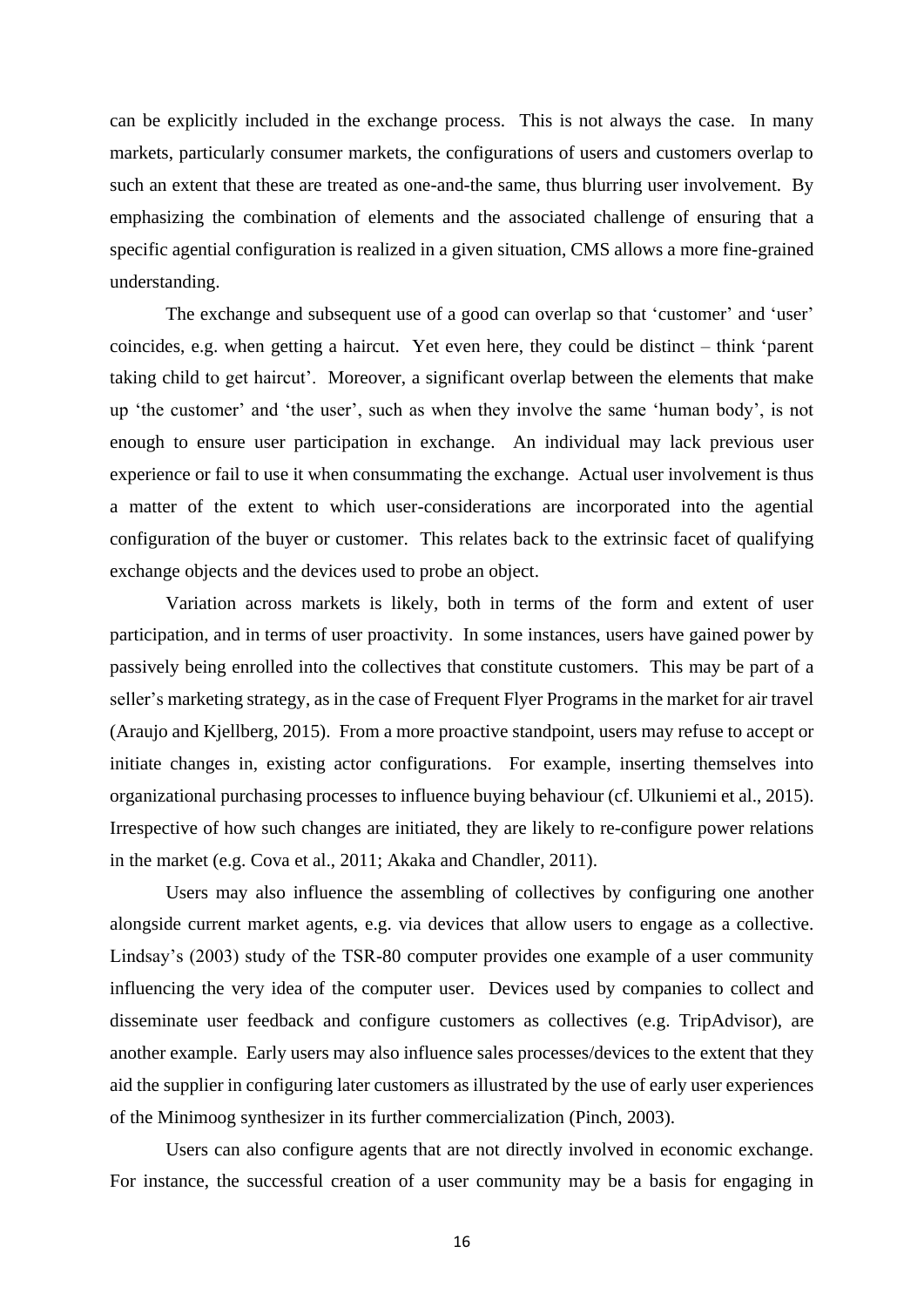can be explicitly included in the exchange process. This is not always the case. In many markets, particularly consumer markets, the configurations of users and customers overlap to such an extent that these are treated as one-and-the same, thus blurring user involvement. By emphasizing the combination of elements and the associated challenge of ensuring that a specific agential configuration is realized in a given situation, CMS allows a more fine-grained understanding.

The exchange and subsequent use of a good can overlap so that 'customer' and 'user' coincides, e.g. when getting a haircut. Yet even here, they could be distinct – think 'parent taking child to get haircut'. Moreover, a significant overlap between the elements that make up 'the customer' and 'the user', such as when they involve the same 'human body', is not enough to ensure user participation in exchange. An individual may lack previous user experience or fail to use it when consummating the exchange. Actual user involvement is thus a matter of the extent to which user-considerations are incorporated into the agential configuration of the buyer or customer. This relates back to the extrinsic facet of qualifying exchange objects and the devices used to probe an object.

Variation across markets is likely, both in terms of the form and extent of user participation, and in terms of user proactivity. In some instances, users have gained power by passively being enrolled into the collectives that constitute customers. This may be part of a seller's marketing strategy, as in the case of Frequent Flyer Programs in the market for air travel (Araujo and Kjellberg, 2015). From a more proactive standpoint, users may refuse to accept or initiate changes in, existing actor configurations. For example, inserting themselves into organizational purchasing processes to influence buying behaviour (cf. Ulkuniemi et al., 2015). Irrespective of how such changes are initiated, they are likely to re-configure power relations in the market (e.g. Cova et al., 2011; Akaka and Chandler, 2011).

Users may also influence the assembling of collectives by configuring one another alongside current market agents, e.g. via devices that allow users to engage as a collective. Lindsay's (2003) study of the TSR-80 computer provides one example of a user community influencing the very idea of the computer user. Devices used by companies to collect and disseminate user feedback and configure customers as collectives (e.g. TripAdvisor), are another example. Early users may also influence sales processes/devices to the extent that they aid the supplier in configuring later customers as illustrated by the use of early user experiences of the Minimoog synthesizer in its further commercialization (Pinch, 2003).

Users can also configure agents that are not directly involved in economic exchange. For instance, the successful creation of a user community may be a basis for engaging in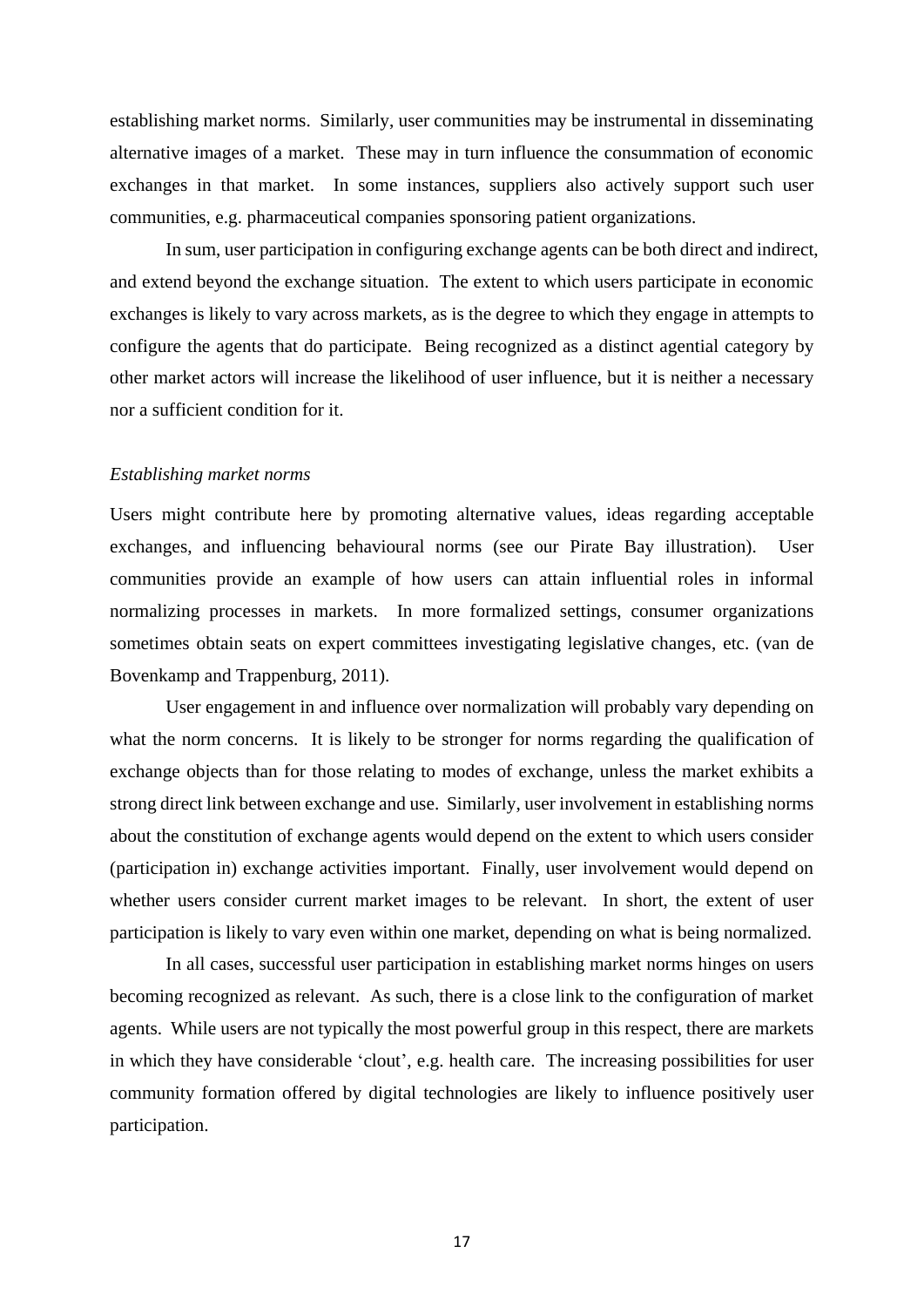establishing market norms. Similarly, user communities may be instrumental in disseminating alternative images of a market. These may in turn influence the consummation of economic exchanges in that market. In some instances, suppliers also actively support such user communities, e.g. pharmaceutical companies sponsoring patient organizations.

In sum, user participation in configuring exchange agents can be both direct and indirect, and extend beyond the exchange situation. The extent to which users participate in economic exchanges is likely to vary across markets, as is the degree to which they engage in attempts to configure the agents that do participate. Being recognized as a distinct agential category by other market actors will increase the likelihood of user influence, but it is neither a necessary nor a sufficient condition for it.

## *Establishing market norms*

Users might contribute here by promoting alternative values, ideas regarding acceptable exchanges, and influencing behavioural norms (see our Pirate Bay illustration). User communities provide an example of how users can attain influential roles in informal normalizing processes in markets. In more formalized settings, consumer organizations sometimes obtain seats on expert committees investigating legislative changes, etc. (van de Bovenkamp and Trappenburg, 2011).

User engagement in and influence over normalization will probably vary depending on what the norm concerns. It is likely to be stronger for norms regarding the qualification of exchange objects than for those relating to modes of exchange, unless the market exhibits a strong direct link between exchange and use. Similarly, user involvement in establishing norms about the constitution of exchange agents would depend on the extent to which users consider (participation in) exchange activities important. Finally, user involvement would depend on whether users consider current market images to be relevant. In short, the extent of user participation is likely to vary even within one market, depending on what is being normalized.

In all cases, successful user participation in establishing market norms hinges on users becoming recognized as relevant. As such, there is a close link to the configuration of market agents. While users are not typically the most powerful group in this respect, there are markets in which they have considerable 'clout', e.g. health care. The increasing possibilities for user community formation offered by digital technologies are likely to influence positively user participation.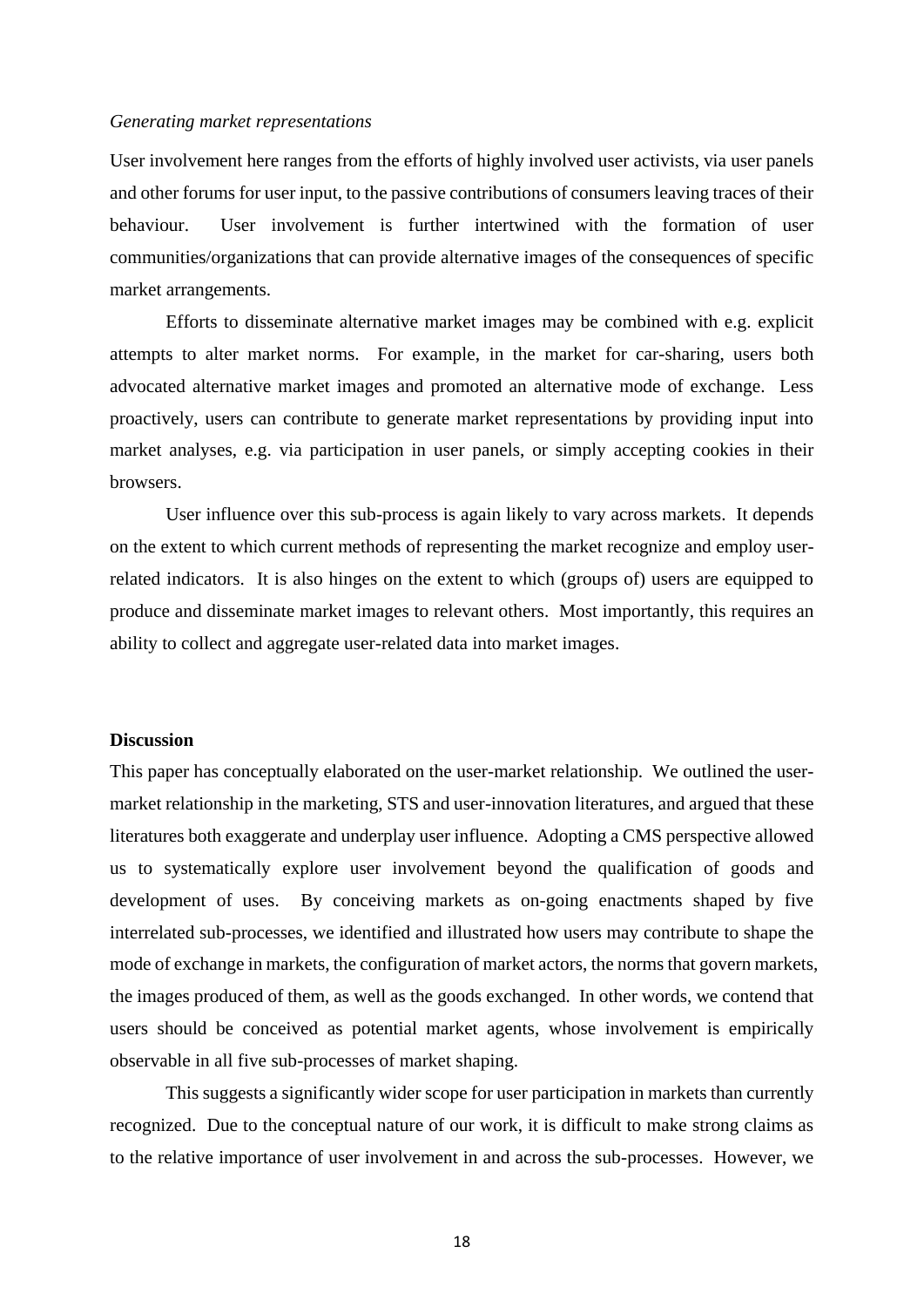#### *Generating market representations*

User involvement here ranges from the efforts of highly involved user activists, via user panels and other forums for user input, to the passive contributions of consumers leaving traces of their behaviour. User involvement is further intertwined with the formation of user communities/organizations that can provide alternative images of the consequences of specific market arrangements.

Efforts to disseminate alternative market images may be combined with e.g. explicit attempts to alter market norms. For example, in the market for car-sharing, users both advocated alternative market images and promoted an alternative mode of exchange. Less proactively, users can contribute to generate market representations by providing input into market analyses, e.g. via participation in user panels, or simply accepting cookies in their browsers.

User influence over this sub-process is again likely to vary across markets. It depends on the extent to which current methods of representing the market recognize and employ userrelated indicators. It is also hinges on the extent to which (groups of) users are equipped to produce and disseminate market images to relevant others. Most importantly, this requires an ability to collect and aggregate user-related data into market images.

## **Discussion**

This paper has conceptually elaborated on the user-market relationship. We outlined the usermarket relationship in the marketing, STS and user-innovation literatures, and argued that these literatures both exaggerate and underplay user influence. Adopting a CMS perspective allowed us to systematically explore user involvement beyond the qualification of goods and development of uses. By conceiving markets as on-going enactments shaped by five interrelated sub-processes, we identified and illustrated how users may contribute to shape the mode of exchange in markets, the configuration of market actors, the norms that govern markets, the images produced of them, as well as the goods exchanged. In other words, we contend that users should be conceived as potential market agents, whose involvement is empirically observable in all five sub-processes of market shaping.

This suggests a significantly wider scope for user participation in markets than currently recognized. Due to the conceptual nature of our work, it is difficult to make strong claims as to the relative importance of user involvement in and across the sub-processes. However, we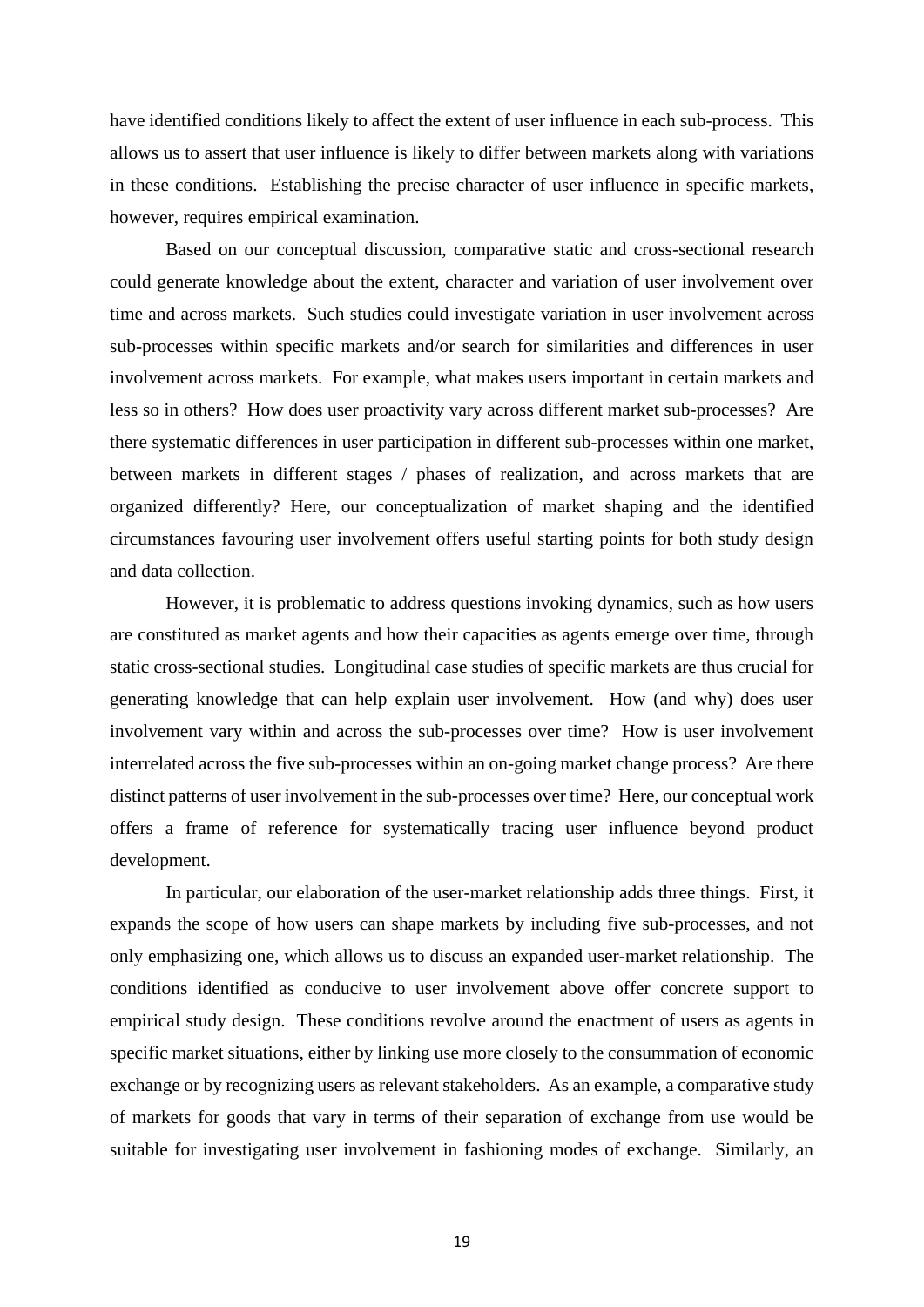have identified conditions likely to affect the extent of user influence in each sub-process. This allows us to assert that user influence is likely to differ between markets along with variations in these conditions. Establishing the precise character of user influence in specific markets, however, requires empirical examination.

Based on our conceptual discussion, comparative static and cross-sectional research could generate knowledge about the extent, character and variation of user involvement over time and across markets. Such studies could investigate variation in user involvement across sub-processes within specific markets and/or search for similarities and differences in user involvement across markets. For example, what makes users important in certain markets and less so in others? How does user proactivity vary across different market sub-processes? Are there systematic differences in user participation in different sub-processes within one market, between markets in different stages / phases of realization, and across markets that are organized differently? Here, our conceptualization of market shaping and the identified circumstances favouring user involvement offers useful starting points for both study design and data collection.

However, it is problematic to address questions invoking dynamics, such as how users are constituted as market agents and how their capacities as agents emerge over time, through static cross-sectional studies. Longitudinal case studies of specific markets are thus crucial for generating knowledge that can help explain user involvement. How (and why) does user involvement vary within and across the sub-processes over time? How is user involvement interrelated across the five sub-processes within an on-going market change process? Are there distinct patterns of user involvement in the sub-processes over time? Here, our conceptual work offers a frame of reference for systematically tracing user influence beyond product development.

In particular, our elaboration of the user-market relationship adds three things. First, it expands the scope of how users can shape markets by including five sub-processes, and not only emphasizing one, which allows us to discuss an expanded user-market relationship. The conditions identified as conducive to user involvement above offer concrete support to empirical study design. These conditions revolve around the enactment of users as agents in specific market situations, either by linking use more closely to the consummation of economic exchange or by recognizing users as relevant stakeholders. As an example, a comparative study of markets for goods that vary in terms of their separation of exchange from use would be suitable for investigating user involvement in fashioning modes of exchange. Similarly, an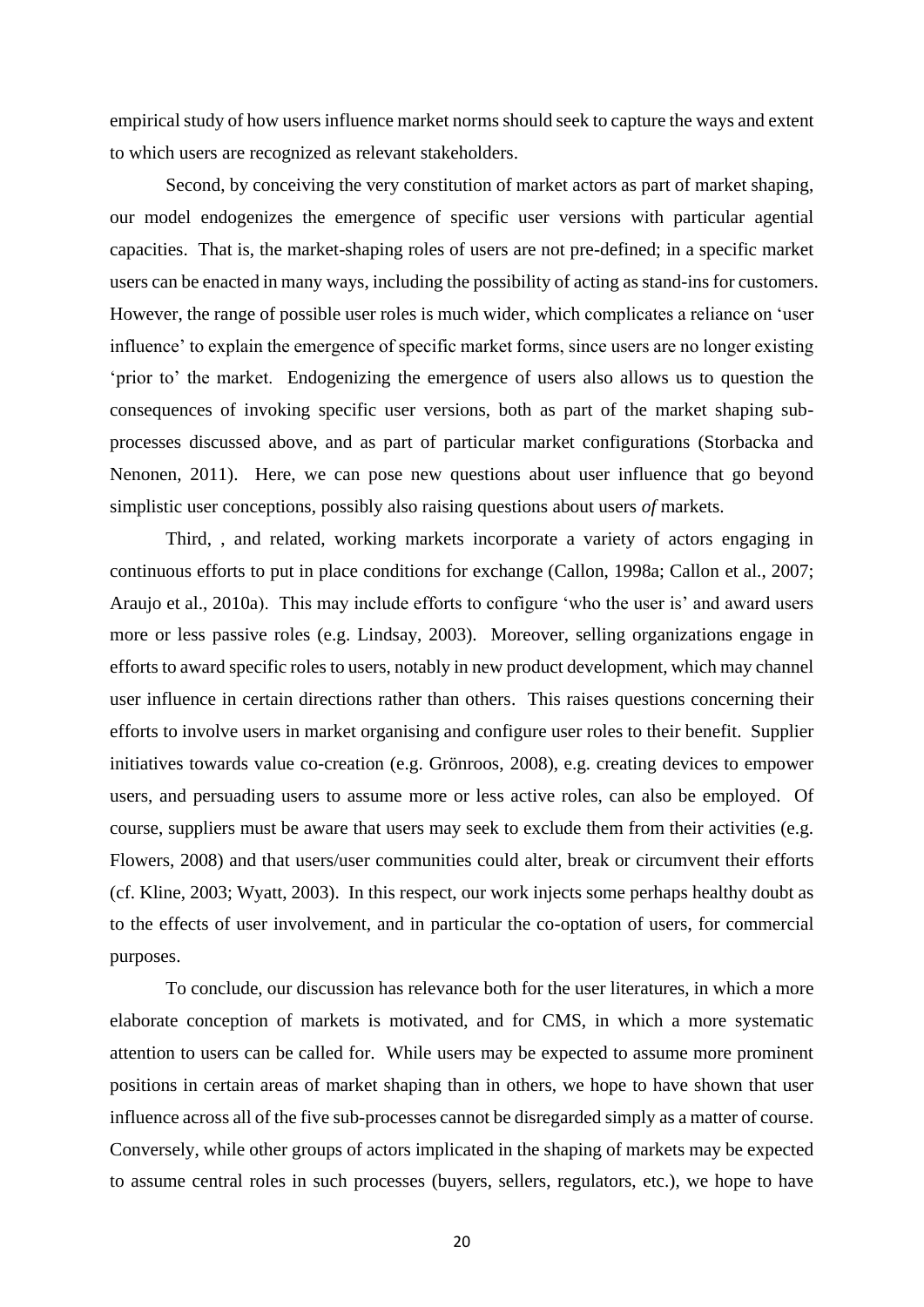empirical study of how users influence market norms should seek to capture the ways and extent to which users are recognized as relevant stakeholders.

Second, by conceiving the very constitution of market actors as part of market shaping, our model endogenizes the emergence of specific user versions with particular agential capacities. That is, the market-shaping roles of users are not pre-defined; in a specific market users can be enacted in many ways, including the possibility of acting as stand-ins for customers. However, the range of possible user roles is much wider, which complicates a reliance on 'user influence' to explain the emergence of specific market forms, since users are no longer existing 'prior to' the market. Endogenizing the emergence of users also allows us to question the consequences of invoking specific user versions, both as part of the market shaping subprocesses discussed above, and as part of particular market configurations (Storbacka and Nenonen, 2011). Here, we can pose new questions about user influence that go beyond simplistic user conceptions, possibly also raising questions about users *of* markets.

Third, , and related, working markets incorporate a variety of actors engaging in continuous efforts to put in place conditions for exchange (Callon, 1998a; Callon et al., 2007; Araujo et al., 2010a). This may include efforts to configure 'who the user is' and award users more or less passive roles (e.g. Lindsay, 2003). Moreover, selling organizations engage in efforts to award specific roles to users, notably in new product development, which may channel user influence in certain directions rather than others. This raises questions concerning their efforts to involve users in market organising and configure user roles to their benefit. Supplier initiatives towards value co-creation (e.g. Grönroos, 2008), e.g. creating devices to empower users, and persuading users to assume more or less active roles, can also be employed. Of course, suppliers must be aware that users may seek to exclude them from their activities (e.g. Flowers, 2008) and that users/user communities could alter, break or circumvent their efforts (cf. Kline, 2003; Wyatt, 2003). In this respect, our work injects some perhaps healthy doubt as to the effects of user involvement, and in particular the co-optation of users, for commercial purposes.

To conclude, our discussion has relevance both for the user literatures, in which a more elaborate conception of markets is motivated, and for CMS, in which a more systematic attention to users can be called for. While users may be expected to assume more prominent positions in certain areas of market shaping than in others, we hope to have shown that user influence across all of the five sub-processes cannot be disregarded simply as a matter of course. Conversely, while other groups of actors implicated in the shaping of markets may be expected to assume central roles in such processes (buyers, sellers, regulators, etc.), we hope to have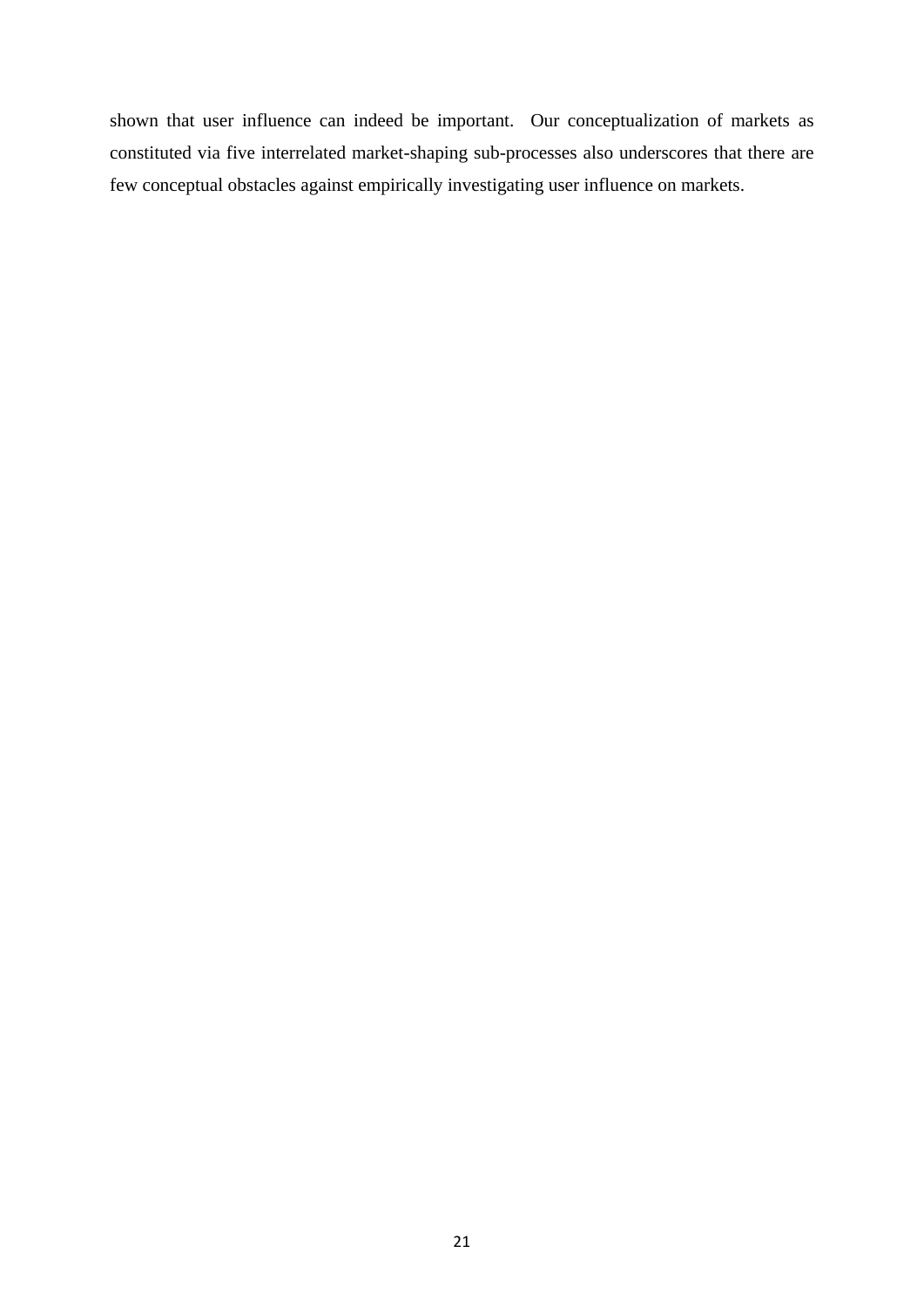shown that user influence can indeed be important. Our conceptualization of markets as constituted via five interrelated market-shaping sub-processes also underscores that there are few conceptual obstacles against empirically investigating user influence on markets.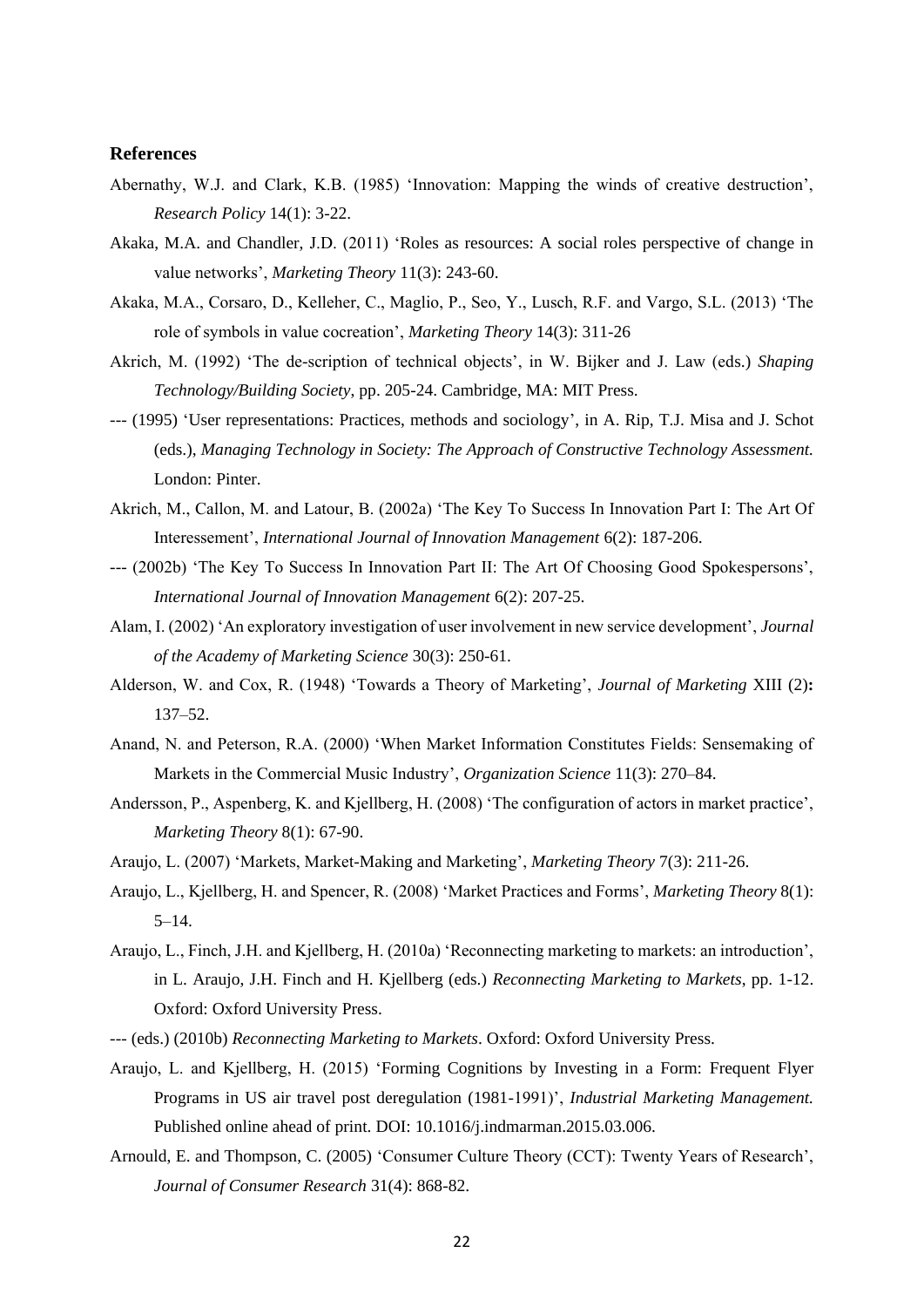## **References**

- Abernathy, W.J. and Clark, K.B. (1985) 'Innovation: Mapping the winds of creative destruction', *Research Policy* 14(1): 3-22.
- Akaka, M.A. and Chandler, J.D. (2011) 'Roles as resources: A social roles perspective of change in value networks', *Marketing Theory* 11(3): 243-60.
- Akaka, M.A., Corsaro, D., Kelleher, C., Maglio, P., Seo, Y., Lusch, R.F. and Vargo, S.L. (2013) 'The role of symbols in value cocreation', *Marketing Theory* 14(3): 311-26
- Akrich, M. (1992) 'The de-scription of technical objects', in W. Bijker and J. Law (eds.) *Shaping Technology/Building Society*, pp. 205-24. Cambridge, MA: MIT Press.
- --- (1995) 'User representations: Practices, methods and sociology', in A. Rip, T.J. Misa and J. Schot (eds.), *Managing Technology in Society: The Approach of Constructive Technology Assessment.* London: Pinter.
- Akrich, M., Callon, M. and Latour, B. (2002a) 'The Key To Success In Innovation Part I: The Art Of Interessement', *International Journal of Innovation Management* 6(2): 187-206.
- --- (2002b) 'The Key To Success In Innovation Part II: The Art Of Choosing Good Spokespersons', *International Journal of Innovation Management* 6(2): 207-25.
- Alam, I. (2002) 'An exploratory investigation of user involvement in new service development', *Journal of the Academy of Marketing Science* 30(3): 250-61.
- Alderson, W. and Cox, R. (1948) 'Towards a Theory of Marketing', *Journal of Marketing* XIII (2)**:**  137–52.
- Anand, N. and Peterson, R.A. (2000) 'When Market Information Constitutes Fields: Sensemaking of Markets in the Commercial Music Industry', *Organization Science* 11(3): 270–84.
- Andersson, P., Aspenberg, K. and Kjellberg, H. (2008) 'The configuration of actors in market practice', *Marketing Theory* 8(1): 67-90.
- Araujo, L. (2007) 'Markets, Market-Making and Marketing', *Marketing Theory* 7(3): 211-26.
- Araujo, L., Kjellberg, H. and Spencer, R. (2008) 'Market Practices and Forms', *Marketing Theory* 8(1):  $5-14.$
- Araujo, L., Finch, J.H. and Kjellberg, H. (2010a) 'Reconnecting marketing to markets: an introduction', in L. Araujo, J.H. Finch and H. Kjellberg (eds.) *Reconnecting Marketing to Markets*, pp. 1-12. Oxford: Oxford University Press.
- --- (eds.) (2010b) *Reconnecting Marketing to Markets*. Oxford: Oxford University Press.
- Araujo, L. and Kjellberg, H. (2015) 'Forming Cognitions by Investing in a Form: Frequent Flyer Programs in US air travel post deregulation (1981-1991)', *Industrial Marketing Management.*  Published online ahead of print. DOI: 10.1016/j.indmarman.2015.03.006.
- Arnould, E. and Thompson, C. (2005) 'Consumer Culture Theory (CCT): Twenty Years of Research', *Journal of Consumer Research* 31(4): 868-82.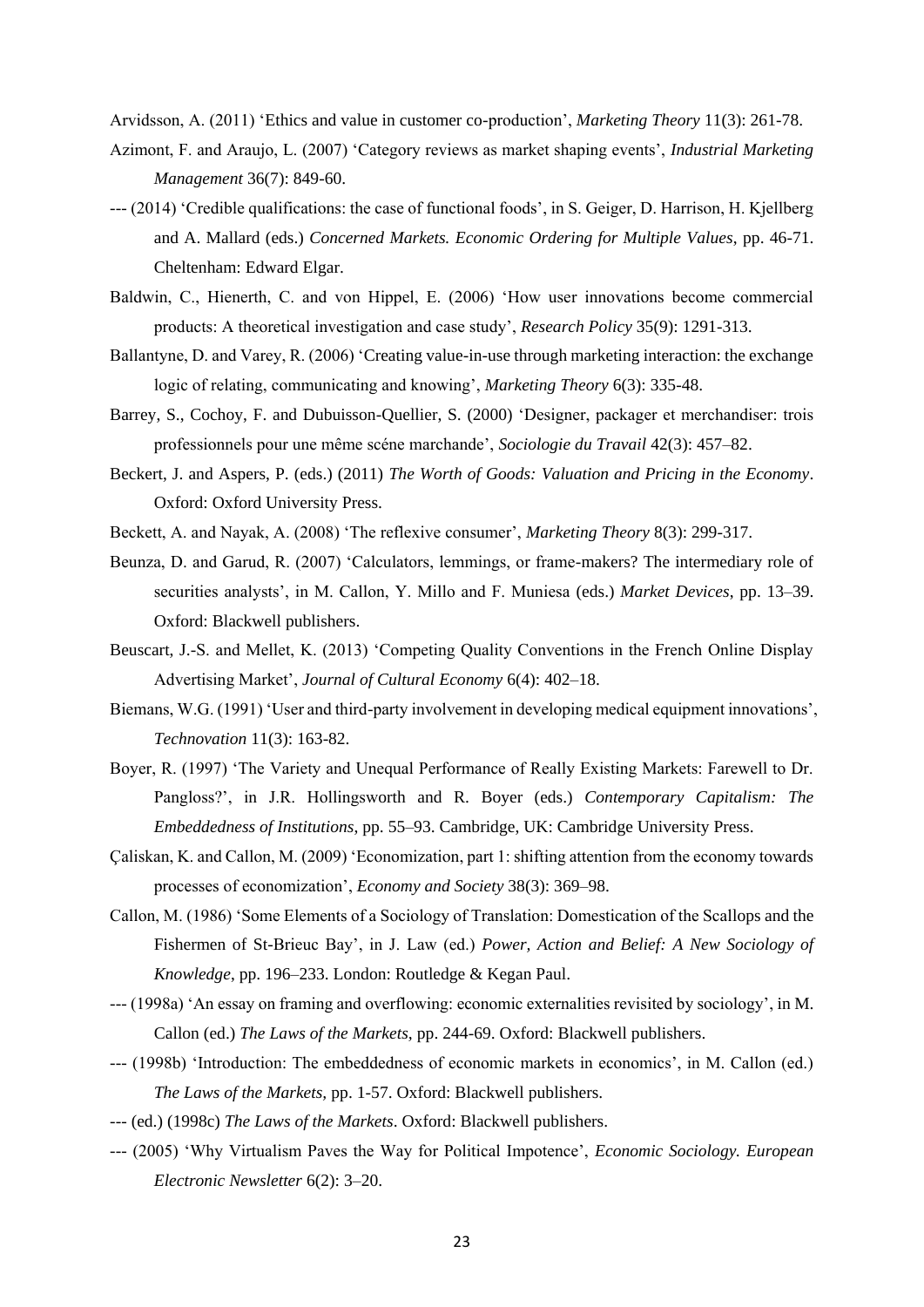Arvidsson, A. (2011) 'Ethics and value in customer co-production', *Marketing Theory* 11(3): 261-78.

- Azimont, F. and Araujo, L. (2007) 'Category reviews as market shaping events', *Industrial Marketing Management* 36(7): 849-60.
- --- (2014) 'Credible qualifications: the case of functional foods', in S. Geiger, D. Harrison, H. Kjellberg and A. Mallard (eds.) *Concerned Markets. Economic Ordering for Multiple Values*, pp. 46-71. Cheltenham: Edward Elgar.
- Baldwin, C., Hienerth, C. and von Hippel, E. (2006) 'How user innovations become commercial products: A theoretical investigation and case study', *Research Policy* 35(9): 1291-313.
- Ballantyne, D. and Varey, R. (2006) 'Creating value-in-use through marketing interaction: the exchange logic of relating, communicating and knowing', *Marketing Theory* 6(3): 335-48.
- Barrey, S., Cochoy, F. and Dubuisson-Quellier, S. (2000) 'Designer, packager et merchandiser: trois professionnels pour une même scéne marchande', *Sociologie du Travail* 42(3): 457–82.
- Beckert, J. and Aspers, P. (eds.) (2011) *The Worth of Goods: Valuation and Pricing in the Economy*. Oxford: Oxford University Press.
- Beckett, A. and Nayak, A. (2008) 'The reflexive consumer', *Marketing Theory* 8(3): 299-317.
- Beunza, D. and Garud, R. (2007) 'Calculators, lemmings, or frame-makers? The intermediary role of securities analysts', in M. Callon, Y. Millo and F. Muniesa (eds.) *Market Devices*, pp. 13–39. Oxford: Blackwell publishers.
- Beuscart, J.-S. and Mellet, K. (2013) 'Competing Quality Conventions in the French Online Display Advertising Market', *Journal of Cultural Economy* 6(4): 402–18.
- Biemans, W.G. (1991) 'User and third-party involvement in developing medical equipment innovations', *Technovation* 11(3): 163-82.
- Boyer, R. (1997) 'The Variety and Unequal Performance of Really Existing Markets: Farewell to Dr. Pangloss?', in J.R. Hollingsworth and R. Boyer (eds.) *Contemporary Capitalism: The Embeddedness of Institutions*, pp. 55–93. Cambridge, UK: Cambridge University Press.
- Çaliskan, K. and Callon, M. (2009) 'Economization, part 1: shifting attention from the economy towards processes of economization', *Economy and Society* 38(3): 369–98.
- Callon, M. (1986) 'Some Elements of a Sociology of Translation: Domestication of the Scallops and the Fishermen of St-Brieuc Bay', in J. Law (ed.) *Power, Action and Belief: A New Sociology of Knowledge*, pp. 196–233. London: Routledge & Kegan Paul.
- --- (1998a) 'An essay on framing and overflowing: economic externalities revisited by sociology', in M. Callon (ed.) *The Laws of the Markets,* pp. 244-69. Oxford: Blackwell publishers.
- --- (1998b) 'Introduction: The embeddedness of economic markets in economics', in M. Callon (ed.) *The Laws of the Markets,* pp. 1-57. Oxford: Blackwell publishers.
- --- (ed.) (1998c) *The Laws of the Markets*. Oxford: Blackwell publishers.
- --- (2005) 'Why Virtualism Paves the Way for Political Impotence', *Economic Sociology. European Electronic Newsletter* 6(2): 3–20.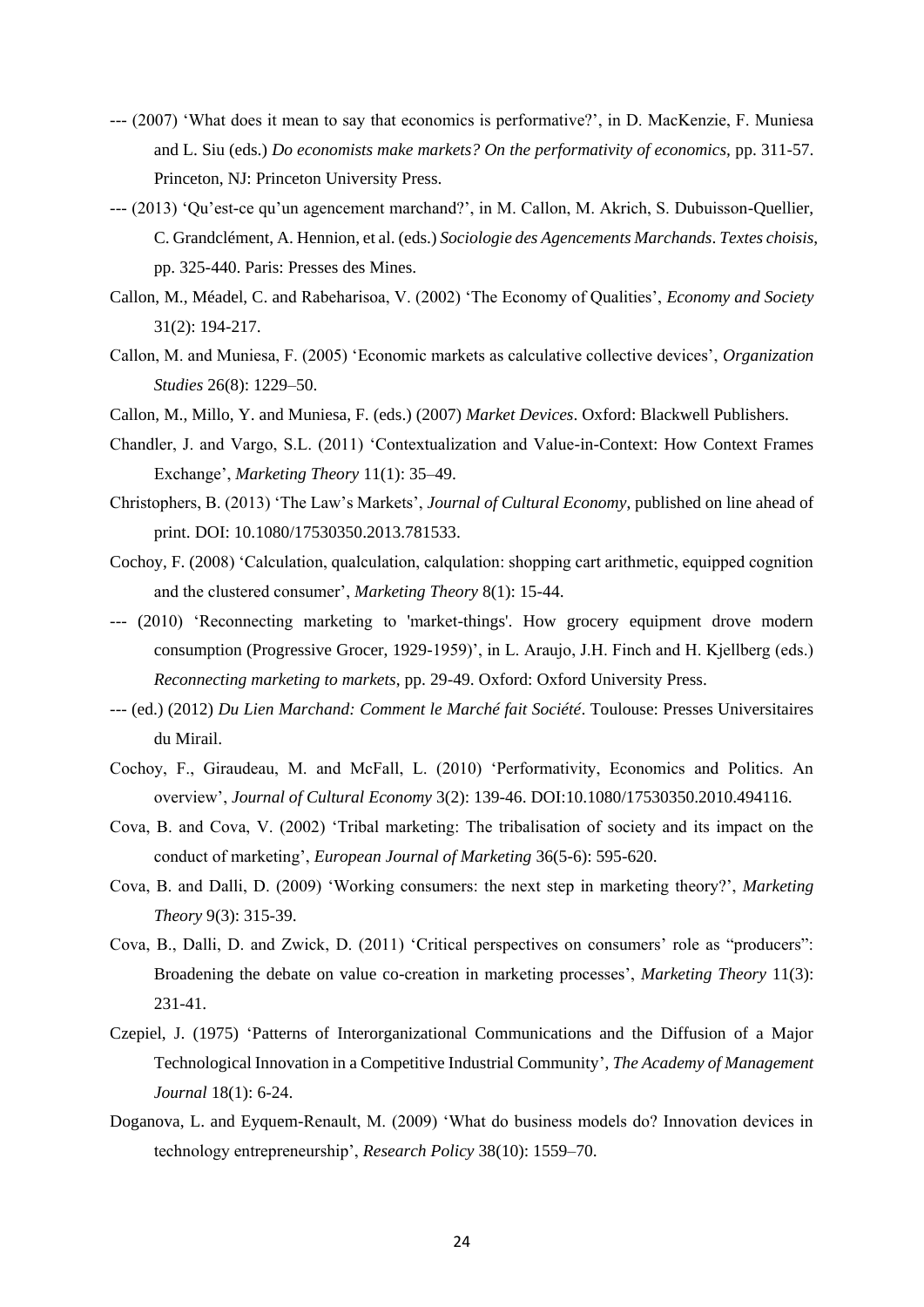- --- (2007) 'What does it mean to say that economics is performative?', in D. MacKenzie, F. Muniesa and L. Siu (eds.) *Do economists make markets? On the performativity of economics,* pp. 311-57. Princeton, NJ: Princeton University Press.
- --- (2013) 'Qu'est-ce qu'un agencement marchand?', in M. Callon, M. Akrich, S. Dubuisson-Quellier, C. Grandclément, A. Hennion, et al. (eds.) *Sociologie des Agencements Marchands*. *Textes choisis*, pp. 325-440. Paris: Presses des Mines.
- Callon, M., Méadel, C. and Rabeharisoa, V. (2002) 'The Economy of Qualities', *Economy and Society* 31(2): 194-217.
- Callon, M. and Muniesa, F. (2005) 'Economic markets as calculative collective devices', *Organization Studies* 26(8): 1229–50.
- Callon, M., Millo, Y. and Muniesa, F. (eds.) (2007) *Market Devices*. Oxford: Blackwell Publishers.
- Chandler, J. and Vargo, S.L. (2011) 'Contextualization and Value-in-Context: How Context Frames Exchange', *Marketing Theory* 11(1): 35–49.
- Christophers, B. (2013) 'The Law's Markets', *Journal of Cultural Economy*, published on line ahead of print. DOI: 10.1080/17530350.2013.781533.
- Cochoy, F. (2008) 'Calculation, qualculation, calqulation: shopping cart arithmetic, equipped cognition and the clustered consumer', *Marketing Theory* 8(1): 15-44.
- --- (2010) 'Reconnecting marketing to 'market-things'. How grocery equipment drove modern consumption (Progressive Grocer, 1929-1959)', in L. Araujo, J.H. Finch and H. Kjellberg (eds.) *Reconnecting marketing to markets*, pp. 29-49. Oxford: Oxford University Press.
- --- (ed.) (2012) *Du Lien Marchand: Comment le Marché fait Société*. Toulouse: Presses Universitaires du Mirail.
- Cochoy, F., Giraudeau, M. and McFall, L. (2010) 'Performativity, Economics and Politics. An overview', *Journal of Cultural Economy* 3(2): 139-46. DOI:10.1080/17530350.2010.494116.
- Cova, B. and Cova, V. (2002) 'Tribal marketing: The tribalisation of society and its impact on the conduct of marketing', *European Journal of Marketing* 36(5-6): 595-620.
- Cova, B. and Dalli, D. (2009) 'Working consumers: the next step in marketing theory?', *Marketing Theory* 9(3): 315-39.
- Cova, B., Dalli, D. and Zwick, D. (2011) 'Critical perspectives on consumers' role as "producers": Broadening the debate on value co-creation in marketing processes', *Marketing Theory* 11(3): 231-41.
- Czepiel, J. (1975) 'Patterns of Interorganizational Communications and the Diffusion of a Major Technological Innovation in a Competitive Industrial Community', *The Academy of Management Journal* 18(1): 6-24.
- Doganova, L. and Eyquem-Renault, M. (2009) 'What do business models do? Innovation devices in technology entrepreneurship', *Research Policy* 38(10): 1559–70.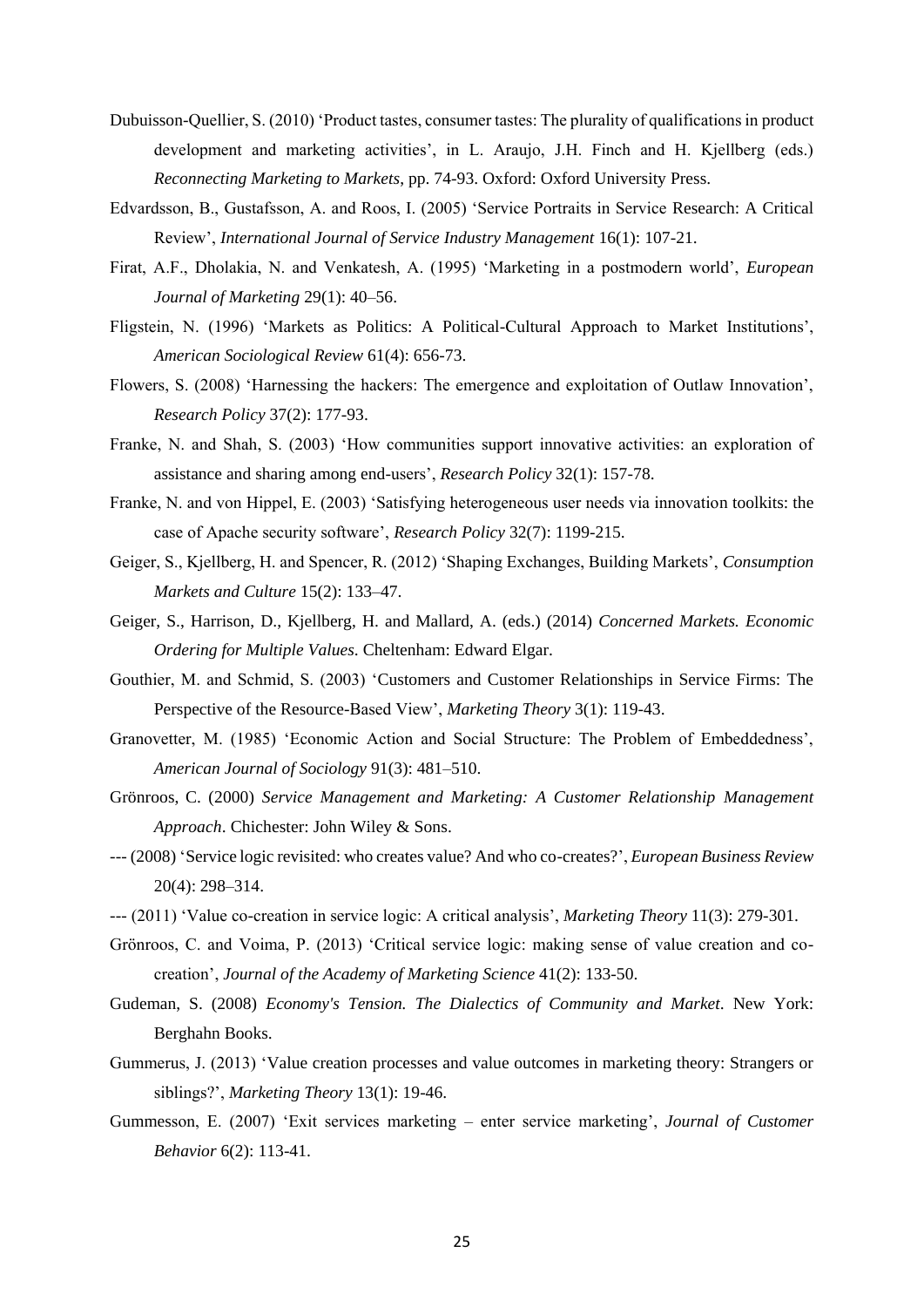- Dubuisson-Quellier, S. (2010) 'Product tastes, consumer tastes: The plurality of qualifications in product development and marketing activities', in L. Araujo, J.H. Finch and H. Kjellberg (eds.) *Reconnecting Marketing to Markets*, pp. 74-93. Oxford: Oxford University Press.
- Edvardsson, B., Gustafsson, A. and Roos, I. (2005) 'Service Portraits in Service Research: A Critical Review', *International Journal of Service Industry Management* 16(1): 107-21.
- Firat, A.F., Dholakia, N. and Venkatesh, A. (1995) 'Marketing in a postmodern world', *European Journal of Marketing* 29(1): 40–56.
- Fligstein, N. (1996) 'Markets as Politics: A Political-Cultural Approach to Market Institutions', *American Sociological Review* 61(4): 656-73.
- Flowers, S. (2008) 'Harnessing the hackers: The emergence and exploitation of Outlaw Innovation', *Research Policy* 37(2): 177-93.
- Franke, N. and Shah, S. (2003) 'How communities support innovative activities: an exploration of assistance and sharing among end-users', *Research Policy* 32(1): 157-78.
- Franke, N. and von Hippel, E. (2003) 'Satisfying heterogeneous user needs via innovation toolkits: the case of Apache security software', *Research Policy* 32(7): 1199-215.
- Geiger, S., Kjellberg, H. and Spencer, R. (2012) 'Shaping Exchanges, Building Markets', *Consumption Markets and Culture* 15(2): 133–47.
- Geiger, S., Harrison, D., Kjellberg, H. and Mallard, A. (eds.) (2014) *Concerned Markets. Economic Ordering for Multiple Values*. Cheltenham: Edward Elgar.
- Gouthier, M. and Schmid, S. (2003) 'Customers and Customer Relationships in Service Firms: The Perspective of the Resource-Based View', *Marketing Theory* 3(1): 119-43.
- Granovetter, M. (1985) 'Economic Action and Social Structure: The Problem of Embeddedness', *American Journal of Sociology* 91(3): 481–510.
- Grönroos, C. (2000) *Service Management and Marketing: A Customer Relationship Management Approach*. Chichester: John Wiley & Sons.
- --- (2008) 'Service logic revisited: who creates value? And who co-creates?', *European Business Review* 20(4): 298–314.
- --- (2011) 'Value co-creation in service logic: A critical analysis', *Marketing Theory* 11(3): 279-301.
- Grönroos, C. and Voima, P. (2013) 'Critical service logic: making sense of value creation and cocreation', *Journal of the Academy of Marketing Science* 41(2): 133-50.
- Gudeman, S. (2008) *Economy's Tension. The Dialectics of Community and Market*. New York: Berghahn Books.
- Gummerus, J. (2013) 'Value creation processes and value outcomes in marketing theory: Strangers or siblings?', *Marketing Theory* 13(1): 19-46.
- Gummesson, E. (2007) 'Exit services marketing enter service marketing', *Journal of Customer Behavior* 6(2): 113-41.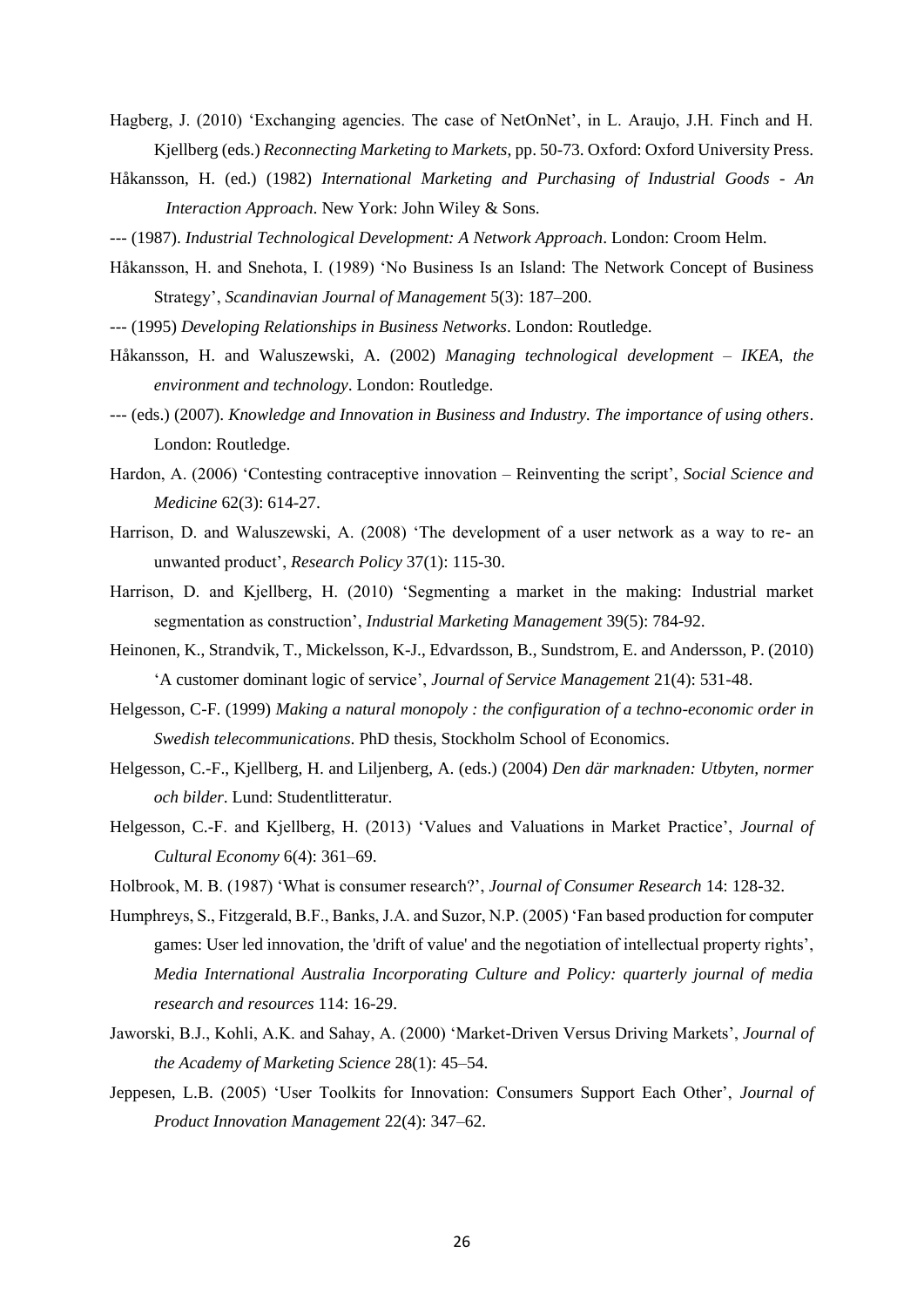- Hagberg, J. (2010) 'Exchanging agencies. The case of NetOnNet', in L. Araujo, J.H. Finch and H. Kjellberg (eds.) *Reconnecting Marketing to Markets*, pp. 50-73. Oxford: Oxford University Press.
- Håkansson, H. (ed.) (1982) *International Marketing and Purchasing of Industrial Goods - An Interaction Approach*. New York: John Wiley & Sons.
- --- (1987). *Industrial Technological Development: A Network Approach*. London: Croom Helm.
- Håkansson, H. and Snehota, I. (1989) 'No Business Is an Island: The Network Concept of Business Strategy', *Scandinavian Journal of Management* 5(3): 187–200.
- --- (1995) *Developing Relationships in Business Networks*. London: Routledge.
- Håkansson, H. and Waluszewski, A. (2002) *Managing technological development – IKEA, the environment and technology*. London: Routledge.
- --- (eds.) (2007). *Knowledge and Innovation in Business and Industry. The importance of using others*. London: Routledge.
- Hardon, A. (2006) 'Contesting contraceptive innovation Reinventing the script', *Social Science and Medicine* 62(3): 614-27.
- Harrison, D. and Waluszewski, A. (2008) 'The development of a user network as a way to re- an unwanted product', *Research Policy* 37(1): 115-30.
- Harrison, D. and Kjellberg, H. (2010) 'Segmenting a market in the making: Industrial market segmentation as construction', *Industrial Marketing Management* 39(5): 784-92.
- Heinonen, K., Strandvik, T., Mickelsson, K-J., Edvardsson, B., Sundstrom, E. and Andersson, P. (2010) 'A customer dominant logic of service', *Journal of Service Management* 21(4): 531-48.
- Helgesson, C-F. (1999) *Making a natural monopoly : the configuration of a techno-economic order in Swedish telecommunications*. PhD thesis, Stockholm School of Economics.
- Helgesson, C.-F., Kjellberg, H. and Liljenberg, A. (eds.) (2004) *Den där marknaden: Utbyten, normer och bilder*. Lund: Studentlitteratur.
- Helgesson, C.-F. and Kjellberg, H. (2013) 'Values and Valuations in Market Practice', *Journal of Cultural Economy* 6(4): 361–69.
- Holbrook, M. B. (1987) 'What is consumer research?', *Journal of Consumer Research* 14: 128-32.
- Humphreys, S., Fitzgerald, B.F., Banks, J.A. and Suzor, N.P. (2005) 'Fan based production for computer games: User led innovation, the 'drift of value' and the negotiation of intellectual property rights', *Media International Australia Incorporating Culture and Policy: quarterly journal of media research and resources* 114: 16-29.
- Jaworski, B.J., Kohli, A.K. and Sahay, A. (2000) 'Market-Driven Versus Driving Markets', *Journal of the Academy of Marketing Science* 28(1): 45–54.
- Jeppesen, L.B. (2005) 'User Toolkits for Innovation: Consumers Support Each Other', *Journal of Product Innovation Management* 22(4): 347–62.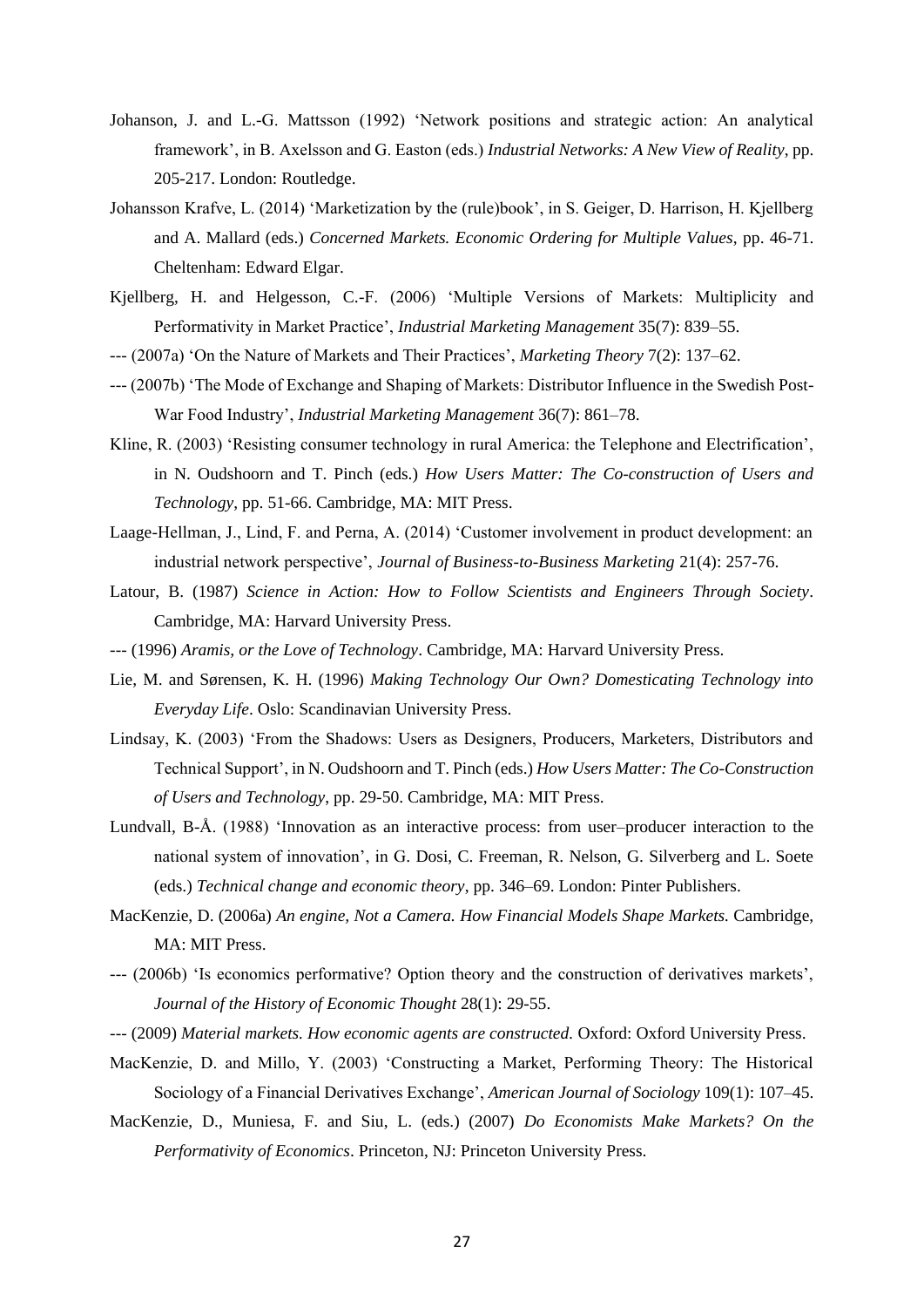- Johanson, J. and L.-G. Mattsson (1992) 'Network positions and strategic action: An analytical framework', in B. Axelsson and G. Easton (eds.) *Industrial Networks: A New View of Reality*, pp. 205-217. London: Routledge.
- Johansson Krafve, L. (2014) 'Marketization by the (rule)book', in S. Geiger, D. Harrison, H. Kjellberg and A. Mallard (eds.) *Concerned Markets. Economic Ordering for Multiple Values*, pp. 46-71. Cheltenham: Edward Elgar.
- Kjellberg, H. and Helgesson, C.-F. (2006) 'Multiple Versions of Markets: Multiplicity and Performativity in Market Practice', *Industrial Marketing Management* 35(7): 839–55.
- --- (2007a) 'On the Nature of Markets and Their Practices', *Marketing Theory* 7(2): 137–62.
- --- (2007b) 'The Mode of Exchange and Shaping of Markets: Distributor Influence in the Swedish Post-War Food Industry', *Industrial Marketing Management* 36(7): 861–78.
- Kline, R. (2003) 'Resisting consumer technology in rural America: the Telephone and Electrification', in N. Oudshoorn and T. Pinch (eds.) *How Users Matter: The Co-construction of Users and Technology*, pp. 51-66. Cambridge, MA: MIT Press.
- Laage-Hellman, J., Lind, F. and Perna, A. (2014) 'Customer involvement in product development: an industrial network perspective', *Journal of Business-to-Business Marketing* 21(4): 257-76.
- Latour, B. (1987) *Science in Action: How to Follow Scientists and Engineers Through Society*. Cambridge, MA: Harvard University Press.
- --- (1996) *Aramis, or the Love of Technology*. Cambridge, MA: Harvard University Press.
- Lie, M. and Sørensen, K. H. (1996) *Making Technology Our Own? Domesticating Technology into Everyday Life*. Oslo: Scandinavian University Press.
- Lindsay, K. (2003) 'From the Shadows: Users as Designers, Producers, Marketers, Distributors and Technical Support', in N. Oudshoorn and T. Pinch (eds.) *How Users Matter: The Co-Construction of Users and Technology*, pp. 29-50. Cambridge, MA: MIT Press.
- Lundvall, B-Å. (1988) 'Innovation as an interactive process: from user–producer interaction to the national system of innovation', in G. Dosi, C. Freeman, R. Nelson, G. Silverberg and L. Soete (eds.) *Technical change and economic theory*, pp. 346–69. London: Pinter Publishers.
- MacKenzie, D. (2006a) *An engine, Not a Camera. How Financial Models Shape Markets.* Cambridge, MA: MIT Press.
- --- (2006b) 'Is economics performative? Option theory and the construction of derivatives markets', *Journal of the History of Economic Thought* 28(1): 29-55.
- --- (2009) *Material markets. How economic agents are constructed.* Oxford: Oxford University Press.
- MacKenzie, D. and Millo, Y. (2003) 'Constructing a Market, Performing Theory: The Historical Sociology of a Financial Derivatives Exchange', *American Journal of Sociology* 109(1): 107–45.
- MacKenzie, D., Muniesa, F. and Siu, L. (eds.) (2007) *Do Economists Make Markets? On the Performativity of Economics*. Princeton, NJ: Princeton University Press.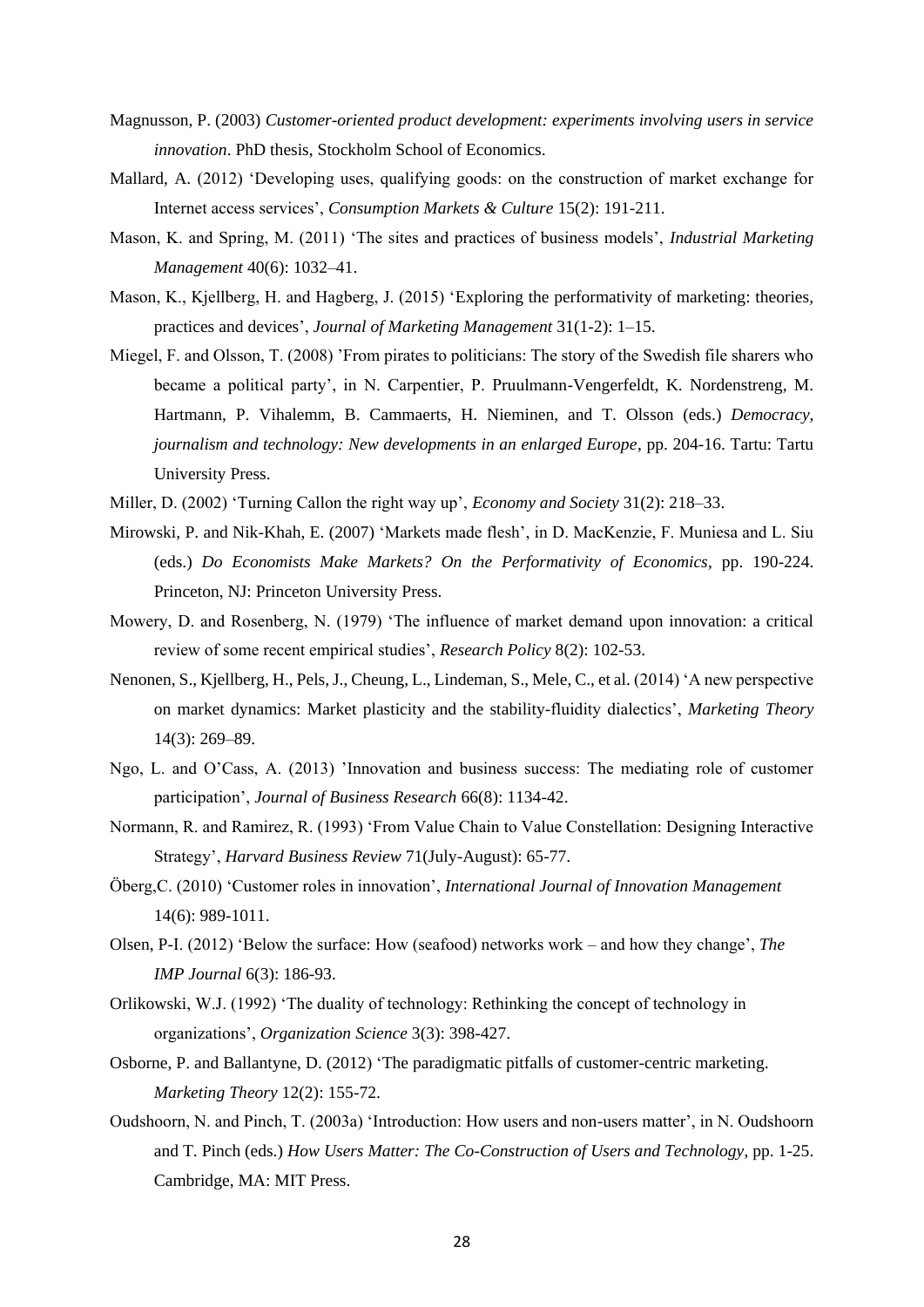- Magnusson, P. (2003) *Customer-oriented product development: experiments involving users in service innovation*. PhD thesis, Stockholm School of Economics.
- Mallard, A. (2012) 'Developing uses, qualifying goods: on the construction of market exchange for Internet access services', *Consumption Markets & Culture* 15(2): 191-211.
- Mason, K. and Spring, M. (2011) 'The sites and practices of business models', *Industrial Marketing Management* 40(6): 1032–41.
- Mason, K., Kjellberg, H. and Hagberg, J. (2015) 'Exploring the performativity of marketing: theories, practices and devices', *Journal of Marketing Management* 31(1-2): 1–15.
- Miegel, F. and Olsson, T. (2008) 'From pirates to politicians: The story of the Swedish file sharers who became a political party', in N. Carpentier, P. Pruulmann-Vengerfeldt, K. Nordenstreng, M. Hartmann, P. Vihalemm, B. Cammaerts, H. Nieminen, and T. Olsson (eds.) *Democracy, journalism and technology: New developments in an enlarged Europe*, pp. 204-16. Tartu: Tartu University Press.
- Miller, D. (2002) 'Turning Callon the right way up', *Economy and Society* 31(2): 218–33.
- Mirowski, P. and Nik-Khah, E. (2007) 'Markets made flesh', in D. MacKenzie, F. Muniesa and L. Siu (eds.) *Do Economists Make Markets? On the Performativity of Economics*, pp. 190-224. Princeton, NJ: Princeton University Press.
- Mowery, D. and Rosenberg, N. (1979) 'The influence of market demand upon innovation: a critical review of some recent empirical studies', *Research Policy* 8(2): 102-53.
- Nenonen, S., Kjellberg, H., Pels, J., Cheung, L., Lindeman, S., Mele, C., et al. (2014) 'A new perspective on market dynamics: Market plasticity and the stability-fluidity dialectics', *Marketing Theory* 14(3): 269–89.
- Ngo, L. and O'Cass, A. (2013) 'Innovation and business success: The mediating role of customer participation', *Journal of Business Research* 66(8): 1134-42.
- Normann, R. and Ramirez, R. (1993) 'From Value Chain to Value Constellation: Designing Interactive Strategy', *Harvard Business Review* 71(July-August): 65-77.
- Öberg,C. (2010) 'Customer roles in innovation', *International Journal of Innovation Management* 14(6): 989-1011.
- Olsen, P-I. (2012) 'Below the surface: How (seafood) networks work and how they change', *The IMP Journal* 6(3): 186-93.
- Orlikowski, W.J. (1992) 'The duality of technology: Rethinking the concept of technology in organizations', *Organization Science* 3(3): 398-427.
- Osborne, P. and Ballantyne, D. (2012) 'The paradigmatic pitfalls of customer-centric marketing. *Marketing Theory* 12(2): 155-72.
- Oudshoorn, N. and Pinch, T. (2003a) 'Introduction: How users and non-users matter', in N. Oudshoorn and T. Pinch (eds.) *How Users Matter: The Co-Construction of Users and Technology*, pp. 1-25. Cambridge, MA: MIT Press.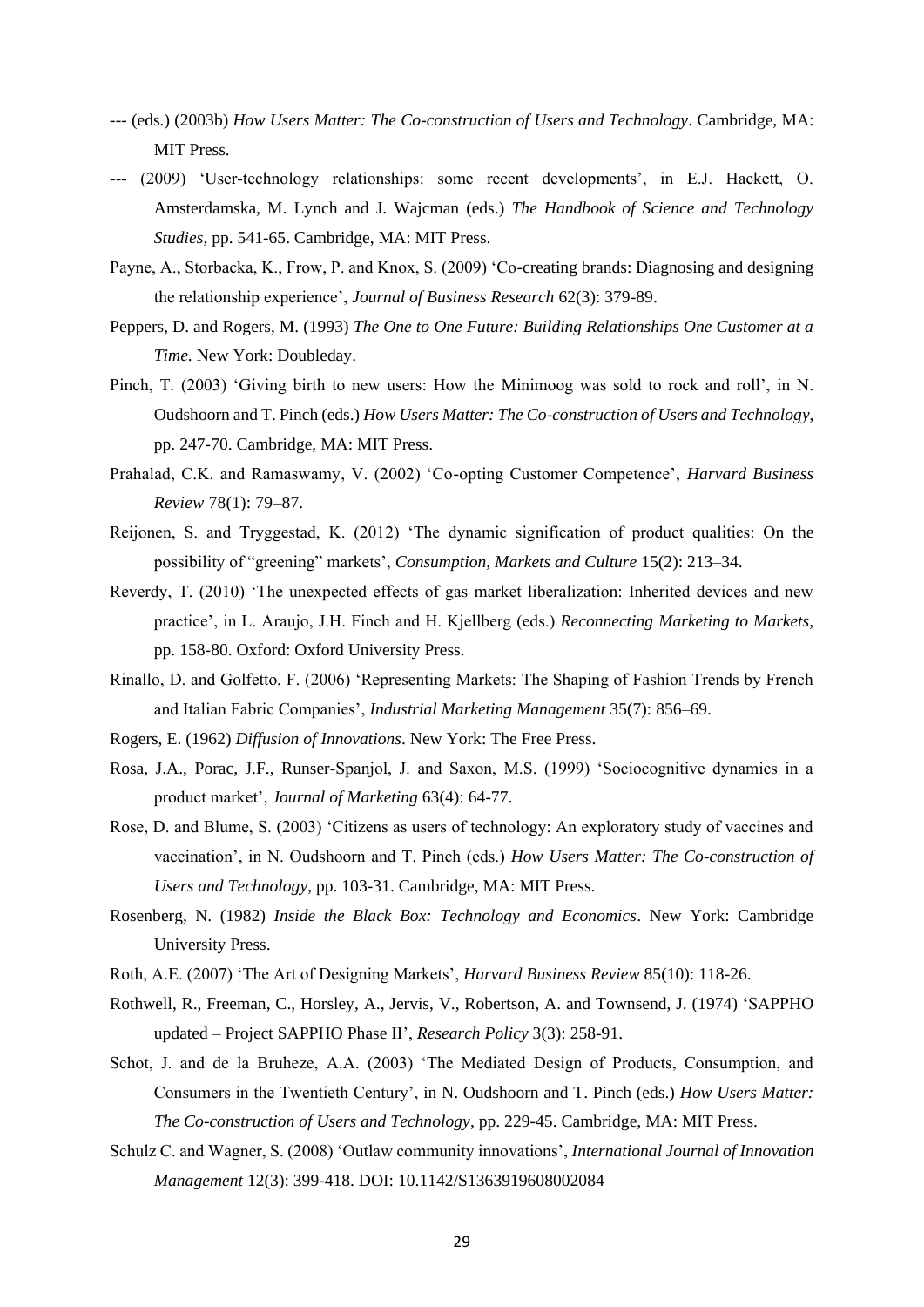- --- (eds.) (2003b) *How Users Matter: The Co-construction of Users and Technology*. Cambridge, MA: MIT Press.
- --- (2009) 'User-technology relationships: some recent developments', in E.J. Hackett, O. Amsterdamska, M. Lynch and J. Wajcman (eds.) *The Handbook of Science and Technology Studies*, pp. 541-65. Cambridge, MA: MIT Press.
- Payne, A., Storbacka, K., Frow, P. and Knox, S. (2009) 'Co-creating brands: Diagnosing and designing the relationship experience', *Journal of Business Research* 62(3): 379-89.
- Peppers, D. and Rogers, M. (1993) *The One to One Future: Building Relationships One Customer at a Time*. New York: Doubleday.
- Pinch, T. (2003) 'Giving birth to new users: How the Minimoog was sold to rock and roll', in N. Oudshoorn and T. Pinch (eds.) *How Users Matter: The Co-construction of Users and Technology*, pp. 247-70. Cambridge, MA: MIT Press.
- Prahalad, C.K. and Ramaswamy, V. (2002) 'Co-opting Customer Competence', *Harvard Business Review* 78(1): 79–87.
- Reijonen, S. and Tryggestad, K. (2012) 'The dynamic signification of product qualities: On the possibility of "greening" markets', *Consumption, Markets and Culture* 15(2): 213–34.
- Reverdy, T. (2010) 'The unexpected effects of gas market liberalization: Inherited devices and new practice', in L. Araujo, J.H. Finch and H. Kjellberg (eds.) *Reconnecting Marketing to Markets,* pp. 158-80. Oxford: Oxford University Press.
- Rinallo, D. and Golfetto, F. (2006) 'Representing Markets: The Shaping of Fashion Trends by French and Italian Fabric Companies', *Industrial Marketing Management* 35(7): 856–69.
- Rogers, E. (1962) *Diffusion of Innovations*. New York: The Free Press.
- Rosa, J.A., Porac, J.F., Runser-Spanjol, J. and Saxon, M.S. (1999) 'Sociocognitive dynamics in a product market', *Journal of Marketing* 63(4): 64-77.
- Rose, D. and Blume, S. (2003) 'Citizens as users of technology: An exploratory study of vaccines and vaccination', in N. Oudshoorn and T. Pinch (eds.) *How Users Matter: The Co-construction of Users and Technology*, pp. 103-31. Cambridge, MA: MIT Press.
- Rosenberg, N. (1982) *Inside the Black Box: Technology and Economics*. New York: Cambridge University Press.
- Roth, A.E. (2007) 'The Art of Designing Markets', *Harvard Business Review* 85(10): 118-26.
- Rothwell, R., Freeman, C., Horsley, A., Jervis, V., Robertson, A. and Townsend, J. (1974) 'SAPPHO updated – Project SAPPHO Phase II', *Research Policy* 3(3): 258-91.
- Schot, J. and de la Bruheze, A.A. (2003) 'The Mediated Design of Products, Consumption, and Consumers in the Twentieth Century', in N. Oudshoorn and T. Pinch (eds.) *How Users Matter: The Co-construction of Users and Technology*, pp. 229-45. Cambridge, MA: MIT Press.
- Schulz C. and Wagner, S. (2008) 'Outlaw community innovations', *International Journal of Innovation Management* 12(3): 399-418. DOI: 10.1142/S1363919608002084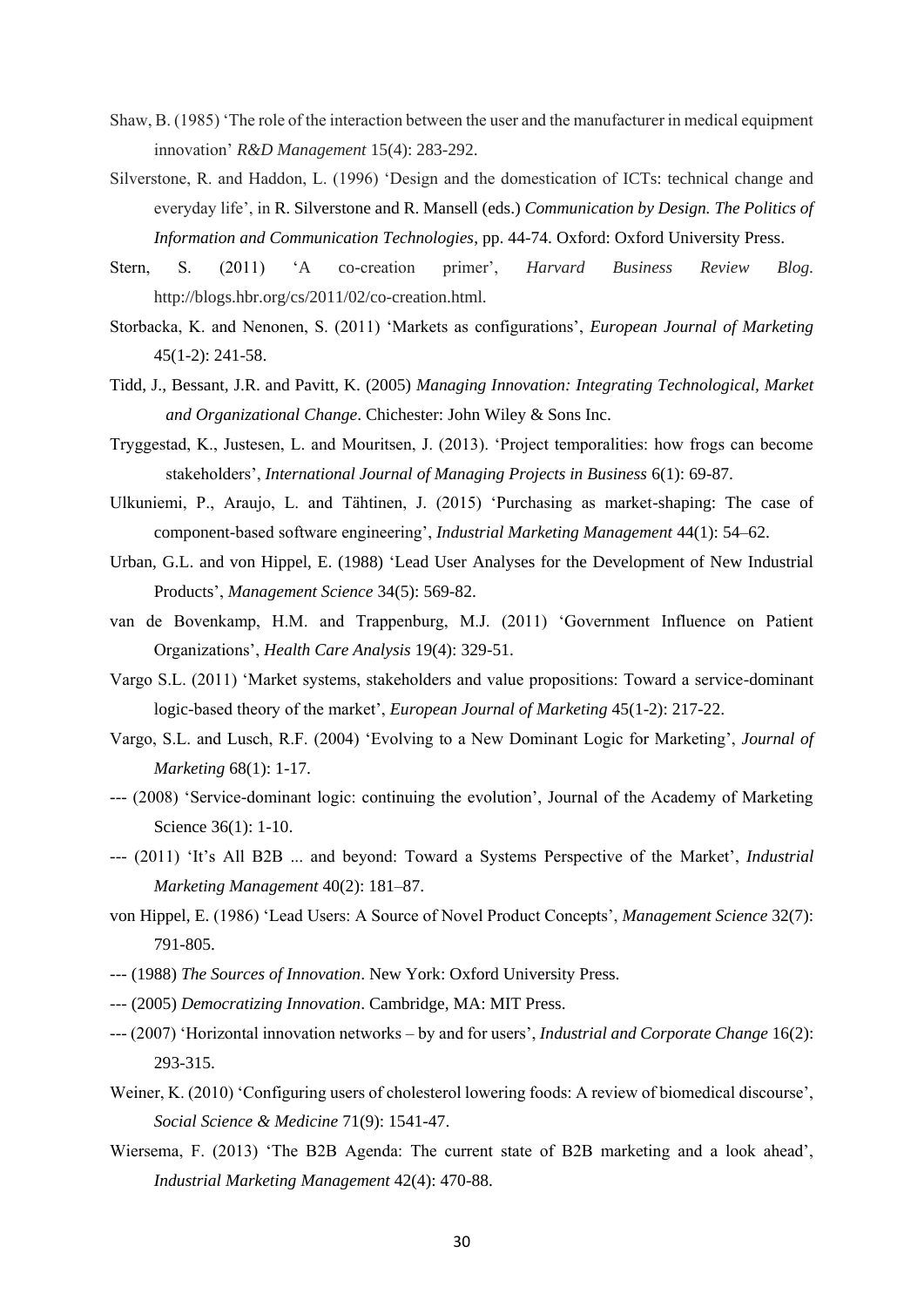- Shaw, B. (1985) 'The role of the interaction between the user and the manufacturer in medical equipment innovation' *R&D Management* 15(4): 283-292.
- Silverstone, R. and Haddon, L. (1996) 'Design and the domestication of ICTs: technical change and everyday life', in R. Silverstone and R. Mansell (eds.) *Communication by Design. The Politics of Information and Communication Technologies*, pp. 44-74. Oxford: Oxford University Press.
- Stern, S. (2011) 'A co-creation primer', *Harvard Business Review Blog.*  http://blogs.hbr.org/cs/2011/02/co-creation.html.
- Storbacka, K. and Nenonen, S. (2011) 'Markets as configurations', *European Journal of Marketing* 45(1-2): 241-58.
- Tidd, J., Bessant, J.R. and Pavitt, K. (2005) *Managing Innovation: Integrating Technological, Market and Organizational Change*. Chichester: John Wiley & Sons Inc.
- Tryggestad, K., Justesen, L. and Mouritsen, J. (2013). 'Project temporalities: how frogs can become stakeholders', *International Journal of Managing Projects in Business* 6(1): 69-87.
- Ulkuniemi, P., Araujo, L. and Tähtinen, J. (2015) 'Purchasing as market-shaping: The case of component-based software engineering', *Industrial Marketing Management* 44(1): 54–62.
- Urban, G.L. and von Hippel, E. (1988) 'Lead User Analyses for the Development of New Industrial Products', *Management Science* 34(5): 569-82.
- van de Bovenkamp, H.M. and Trappenburg, M.J. (2011) 'Government Influence on Patient Organizations', *Health Care Analysis* 19(4): 329-51.
- Vargo S.L. (2011) 'Market systems, stakeholders and value propositions: Toward a service-dominant logic-based theory of the market', *European Journal of Marketing* 45(1-2): 217-22.
- Vargo, S.L. and Lusch, R.F. (2004) 'Evolving to a New Dominant Logic for Marketing', *Journal of Marketing* 68(1): 1-17.
- --- (2008) 'Service-dominant logic: continuing the evolution', Journal of the Academy of Marketing Science 36(1): 1-10.
- --- (2011) 'It's All B2B ... and beyond: Toward a Systems Perspective of the Market', *Industrial Marketing Management* 40(2): 181–87.
- von Hippel, E. (1986) 'Lead Users: A Source of Novel Product Concepts', *Management Science* 32(7): 791-805.
- --- (1988) *The Sources of Innovation*. New York: Oxford University Press.
- --- (2005) *Democratizing Innovation*. Cambridge, MA: MIT Press.
- --- (2007) 'Horizontal innovation networks by and for users', *Industrial and Corporate Change* 16(2): 293-315.
- Weiner, K. (2010) 'Configuring users of cholesterol lowering foods: A review of biomedical discourse', *Social Science & Medicine* 71(9): 1541-47.
- Wiersema, F. (2013) 'The B2B Agenda: The current state of B2B marketing and a look ahead', *Industrial Marketing Management* 42(4): 470-88.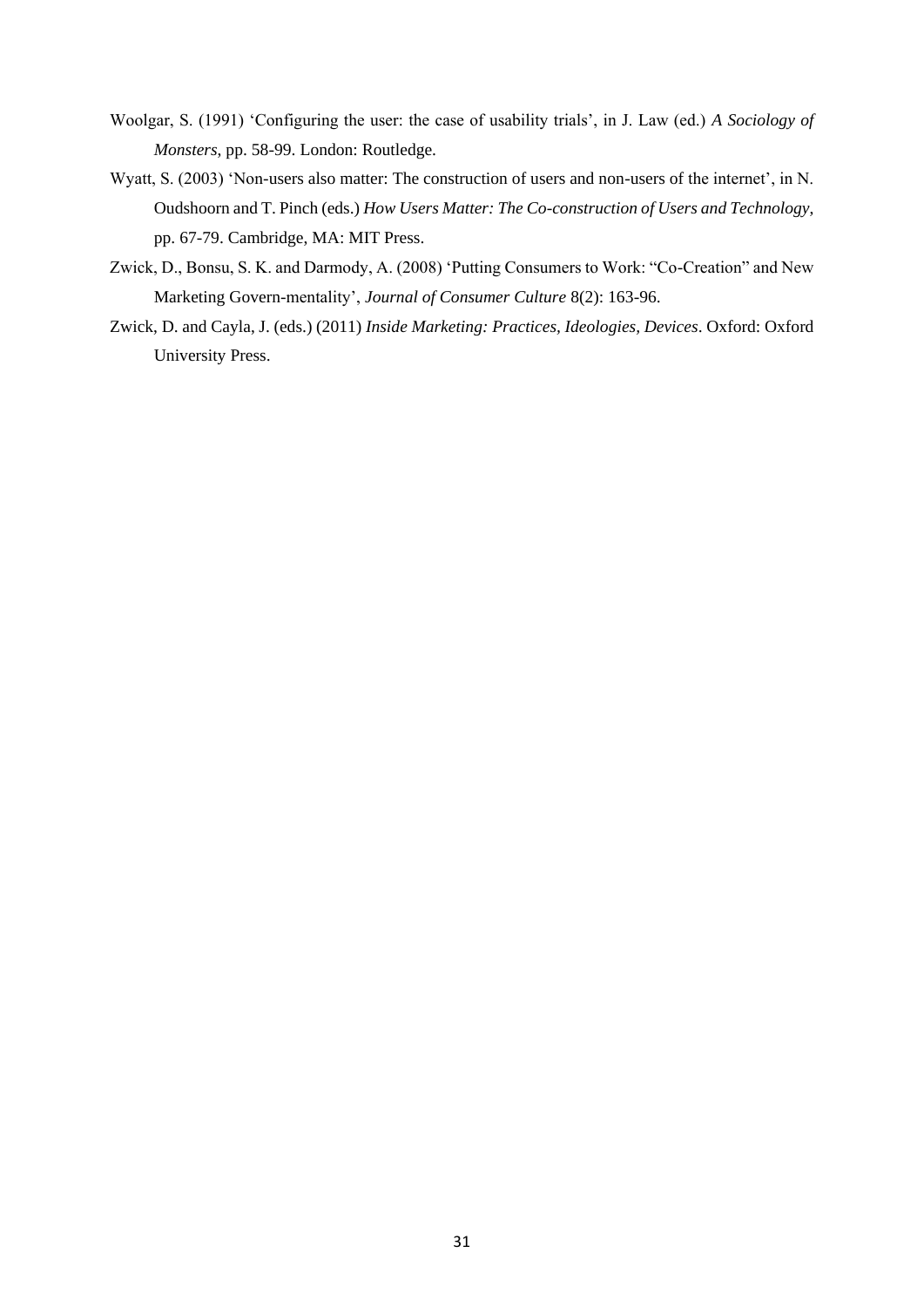- Woolgar, S. (1991) 'Configuring the user: the case of usability trials', in J. Law (ed.) *A Sociology of Monsters*, pp. 58-99. London: Routledge.
- Wyatt, S. (2003) 'Non-users also matter: The construction of users and non-users of the internet', in N. Oudshoorn and T. Pinch (eds.) *How Users Matter: The Co-construction of Users and Technology*, pp. 67-79. Cambridge, MA: MIT Press.
- Zwick, D., Bonsu, S. K. and Darmody, A. (2008) 'Putting Consumers to Work: "Co-Creation" and New Marketing Govern-mentality', *Journal of Consumer Culture* 8(2): 163-96.
- Zwick, D. and Cayla, J. (eds.) (2011) *Inside Marketing: Practices, Ideologies, Devices*. Oxford: Oxford University Press.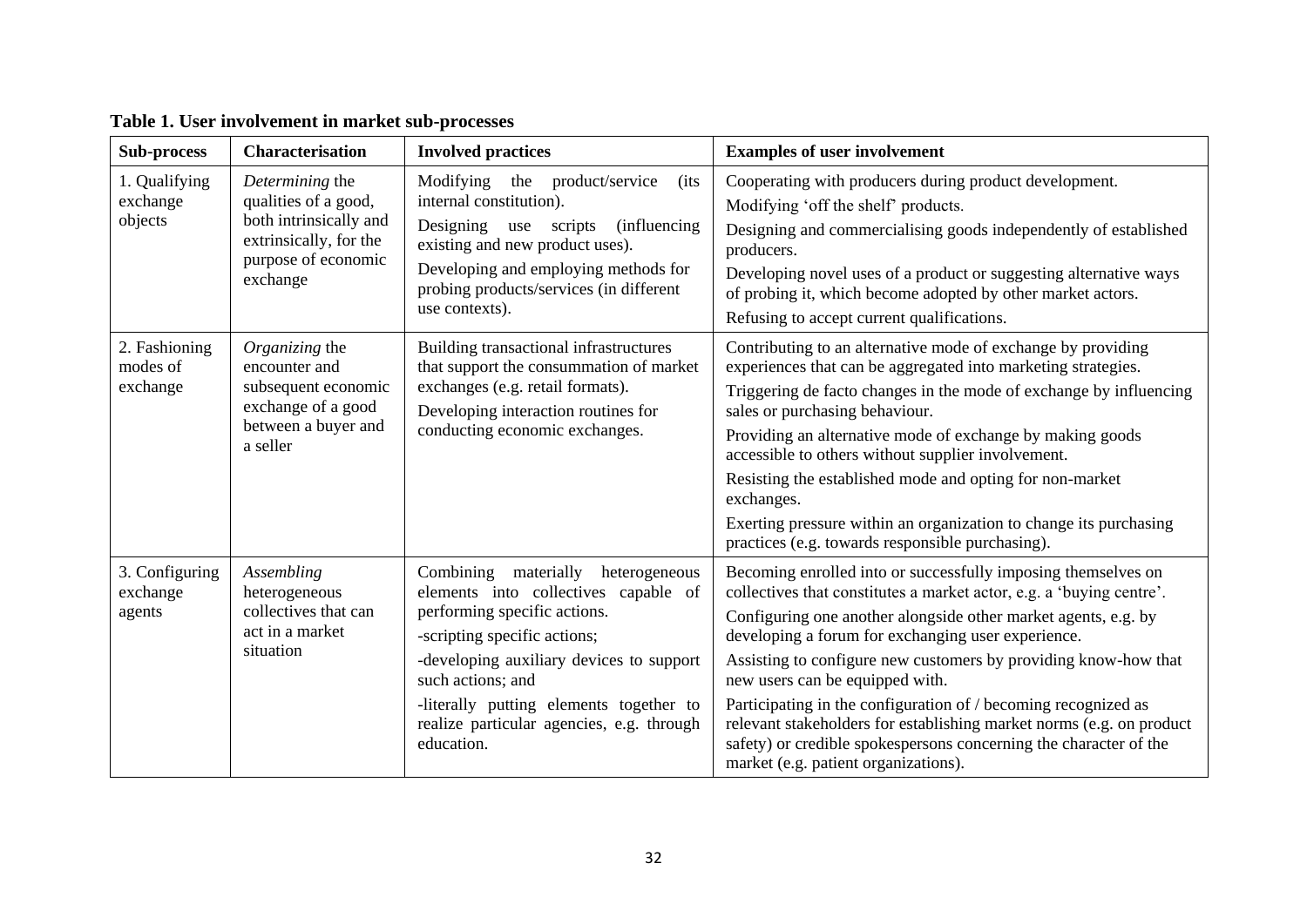| Sub-process                           | <b>Characterisation</b>                                                                                                        | <b>Involved practices</b>                                                                                                                                                                                                                                                                                            | <b>Examples of user involvement</b>                                                                                                                                                                                                                                                                                                                                                                                                                                                                                                                                                                                        |
|---------------------------------------|--------------------------------------------------------------------------------------------------------------------------------|----------------------------------------------------------------------------------------------------------------------------------------------------------------------------------------------------------------------------------------------------------------------------------------------------------------------|----------------------------------------------------------------------------------------------------------------------------------------------------------------------------------------------------------------------------------------------------------------------------------------------------------------------------------------------------------------------------------------------------------------------------------------------------------------------------------------------------------------------------------------------------------------------------------------------------------------------------|
| 1. Qualifying<br>exchange<br>objects  | Determining the<br>qualities of a good,<br>both intrinsically and<br>extrinsically, for the<br>purpose of economic<br>exchange | Modifying the<br>product/service<br>(its<br>internal constitution).<br>Designing<br><i>(influencing)</i><br>use scripts<br>existing and new product uses).<br>Developing and employing methods for<br>probing products/services (in different<br>use contexts).                                                      | Cooperating with producers during product development.<br>Modifying 'off the shelf' products.<br>Designing and commercialising goods independently of established<br>producers.<br>Developing novel uses of a product or suggesting alternative ways<br>of probing it, which become adopted by other market actors.<br>Refusing to accept current qualifications.                                                                                                                                                                                                                                                          |
| 2. Fashioning<br>modes of<br>exchange | Organizing the<br>encounter and<br>subsequent economic<br>exchange of a good<br>between a buyer and<br>a seller                | Building transactional infrastructures<br>that support the consummation of market<br>exchanges (e.g. retail formats).<br>Developing interaction routines for<br>conducting economic exchanges.                                                                                                                       | Contributing to an alternative mode of exchange by providing<br>experiences that can be aggregated into marketing strategies.<br>Triggering de facto changes in the mode of exchange by influencing<br>sales or purchasing behaviour.<br>Providing an alternative mode of exchange by making goods<br>accessible to others without supplier involvement.<br>Resisting the established mode and opting for non-market<br>exchanges.<br>Exerting pressure within an organization to change its purchasing<br>practices (e.g. towards responsible purchasing).                                                                |
| 3. Configuring<br>exchange<br>agents  | Assembling<br>heterogeneous<br>collectives that can<br>act in a market<br>situation                                            | Combining materially<br>heterogeneous<br>elements into collectives capable of<br>performing specific actions.<br>-scripting specific actions;<br>-developing auxiliary devices to support<br>such actions; and<br>-literally putting elements together to<br>realize particular agencies, e.g. through<br>education. | Becoming enrolled into or successfully imposing themselves on<br>collectives that constitutes a market actor, e.g. a 'buying centre'.<br>Configuring one another alongside other market agents, e.g. by<br>developing a forum for exchanging user experience.<br>Assisting to configure new customers by providing know-how that<br>new users can be equipped with.<br>Participating in the configuration of / becoming recognized as<br>relevant stakeholders for establishing market norms (e.g. on product<br>safety) or credible spokespersons concerning the character of the<br>market (e.g. patient organizations). |

# **Table 1. User involvement in market sub-processes**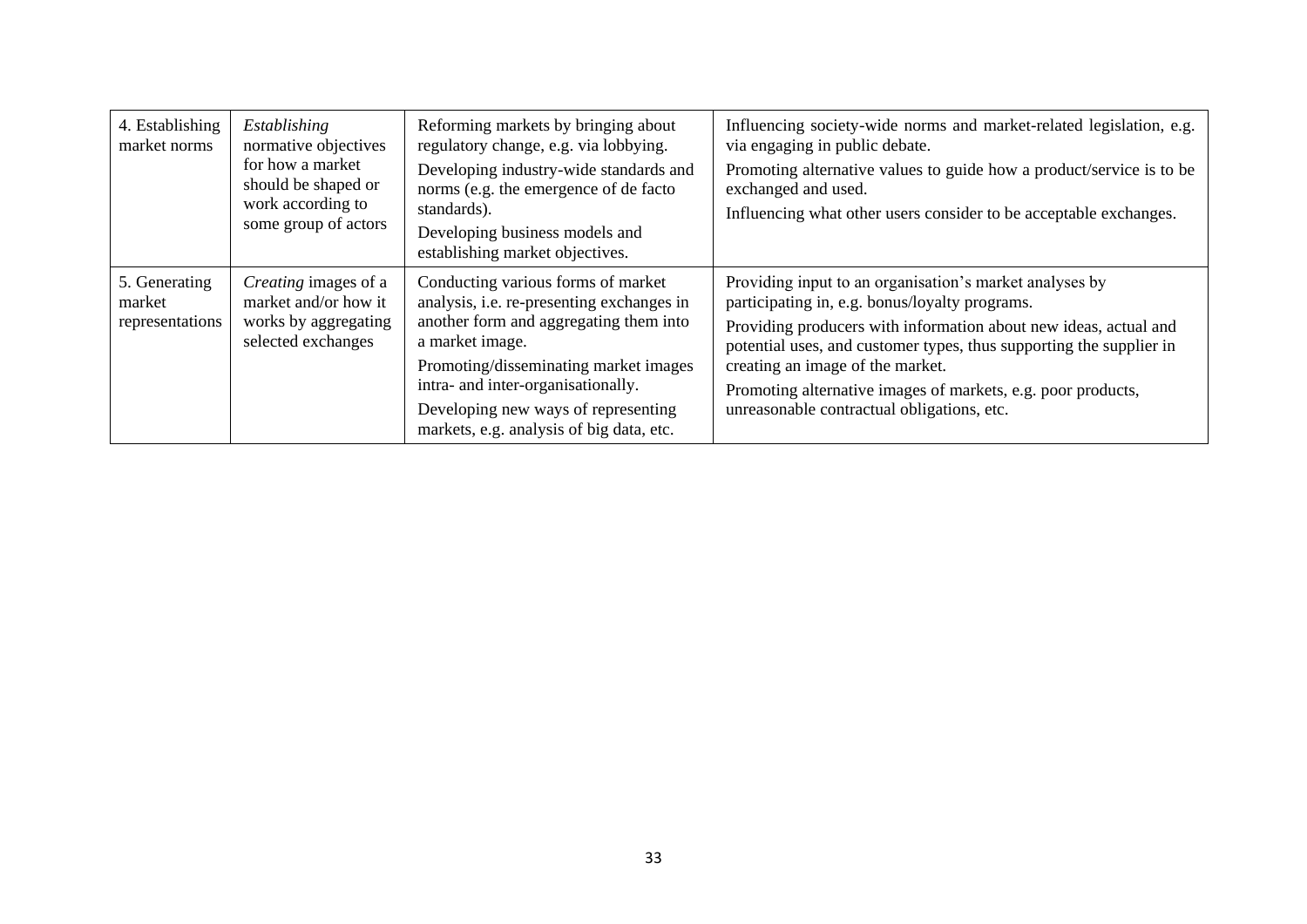| 4. Establishing<br>market norms            | Establishing<br>normative objectives<br>for how a market<br>should be shaped or<br>work according to<br>some group of actors | Reforming markets by bringing about<br>regulatory change, e.g. via lobbying.<br>Developing industry-wide standards and<br>norms (e.g. the emergence of de facto<br>standards).<br>Developing business models and<br>establishing market objectives.                                                                   | Influencing society-wide norms and market-related legislation, e.g.<br>via engaging in public debate.<br>Promoting alternative values to guide how a product/service is to be<br>exchanged and used.<br>Influencing what other users consider to be acceptable exchanges.                                                                                                                              |
|--------------------------------------------|------------------------------------------------------------------------------------------------------------------------------|-----------------------------------------------------------------------------------------------------------------------------------------------------------------------------------------------------------------------------------------------------------------------------------------------------------------------|--------------------------------------------------------------------------------------------------------------------------------------------------------------------------------------------------------------------------------------------------------------------------------------------------------------------------------------------------------------------------------------------------------|
| 5. Generating<br>market<br>representations | Creating images of a<br>market and/or how it<br>works by aggregating<br>selected exchanges                                   | Conducting various forms of market<br>analysis, <i>i.e.</i> re-presenting exchanges in<br>another form and aggregating them into<br>a market image.<br>Promoting/disseminating market images<br>intra- and inter-organisationally.<br>Developing new ways of representing<br>markets, e.g. analysis of big data, etc. | Providing input to an organisation's market analyses by<br>participating in, e.g. bonus/loyalty programs.<br>Providing producers with information about new ideas, actual and<br>potential uses, and customer types, thus supporting the supplier in<br>creating an image of the market.<br>Promoting alternative images of markets, e.g. poor products,<br>unreasonable contractual obligations, etc. |